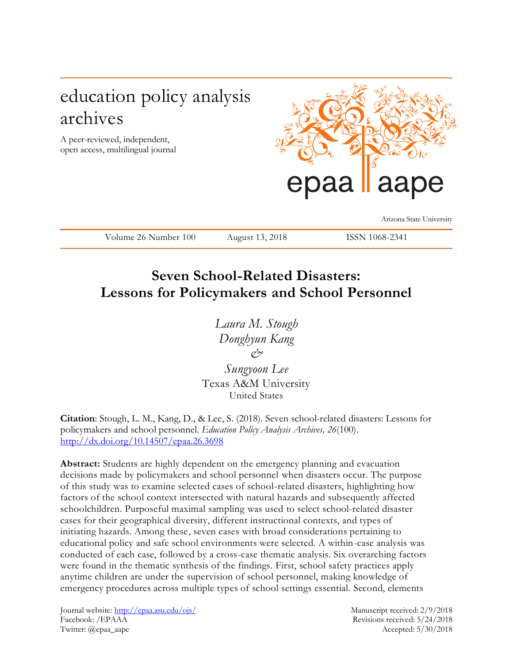# education policy analysis archives

A peer-reviewed, independent, open access, multilingual journal



Arizona State University

Volume 26 Number 100 August 13, 2018 ISSN 1068-2341

## **Seven School-Related Disasters: Lessons for Policymakers and School Personnel**

*Laura M. Stough Donghyun Kang &*

*Sungyoon Lee* Texas A&M University United States

**Citation**: Stough, L. M., Kang, D., & Lee, S. (2018). Seven school-related disasters: Lessons for policymakers and school personnel. *Education Policy Analysis Archives, 26*(100). <http://dx.doi.org/10.14507/epaa.26.3698>

**Abstract:** Students are highly dependent on the emergency planning and evacuation decisions made by policymakers and school personnel when disasters occur. The purpose of this study was to examine selected cases of school-related disasters, highlighting how factors of the school context intersected with natural hazards and subsequently affected schoolchildren. Purposeful maximal sampling was used to select school-related disaster cases for their geographical diversity, different instructional contexts, and types of initiating hazards. Among these, seven cases with broad considerations pertaining to educational policy and safe school environments were selected. A within-case analysis was conducted of each case, followed by a cross-case thematic analysis. Six overarching factors were found in the thematic synthesis of the findings. First, school safety practices apply anytime children are under the supervision of school personnel, making knowledge of emergency procedures across multiple types of school settings essential. Second, elements

Journal website:<http://epaa.asu.edu/ojs/> Manuscript received: 2/9/2018 Facebook: /EPAAA Revisions received: 5/24/2018 Twitter: @epaa\_aape Accepted: 5/30/2018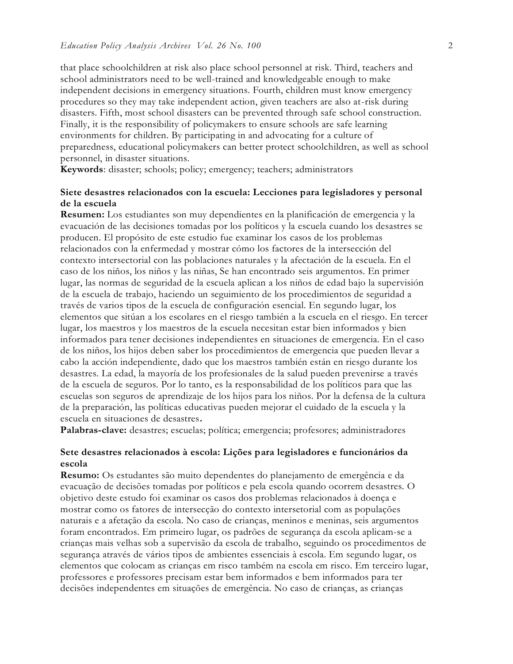that place schoolchildren at risk also place school personnel at risk. Third, teachers and school administrators need to be well-trained and knowledgeable enough to make independent decisions in emergency situations. Fourth, children must know emergency procedures so they may take independent action, given teachers are also at-risk during disasters. Fifth, most school disasters can be prevented through safe school construction. Finally, it is the responsibility of policymakers to ensure schools are safe learning environments for children. By participating in and advocating for a culture of preparedness, educational policymakers can better protect schoolchildren, as well as school personnel, in disaster situations.

**Keywords**: disaster; schools; policy; emergency; teachers; administrators

#### **Siete desastres relacionados con la escuela: Lecciones para legisladores y personal de la escuela**

**Resumen:** Los estudiantes son muy dependientes en la planificación de emergencia y la evacuación de las decisiones tomadas por los políticos y la escuela cuando los desastres se producen. El propósito de este estudio fue examinar los casos de los problemas relacionados con la enfermedad y mostrar cómo los factores de la intersección del contexto intersectorial con las poblaciones naturales y la afectación de la escuela. En el caso de los niños, los niños y las niñas, Se han encontrado seis argumentos. En primer lugar, las normas de seguridad de la escuela aplican a los niños de edad bajo la supervisión de la escuela de trabajo, haciendo un seguimiento de los procedimientos de seguridad a través de varios tipos de la escuela de configuración esencial. En segundo lugar, los elementos que sitúan a los escolares en el riesgo también a la escuela en el riesgo. En tercer lugar, los maestros y los maestros de la escuela necesitan estar bien informados y bien informados para tener decisiones independientes en situaciones de emergencia. En el caso de los niños, los hijos deben saber los procedimientos de emergencia que pueden llevar a cabo la acción independiente, dado que los maestros también están en riesgo durante los desastres. La edad, la mayoría de los profesionales de la salud pueden prevenirse a través de la escuela de seguros. Por lo tanto, es la responsabilidad de los políticos para que las escuelas son seguros de aprendizaje de los hijos para los niños. Por la defensa de la cultura de la preparación, las políticas educativas pueden mejorar el cuidado de la escuela y la escuela en situaciones de desastres**.**

**Palabras-clave:** desastres; escuelas; política; emergencia; profesores; administradores

#### **Sete desastres relacionados à escola: Lições para legisladores e funcionários da escola**

**Resumo:** Os estudantes são muito dependentes do planejamento de emergência e da evacuação de decisões tomadas por políticos e pela escola quando ocorrem desastres. O objetivo deste estudo foi examinar os casos dos problemas relacionados à doença e mostrar como os fatores de intersecção do contexto intersetorial com as populações naturais e a afetação da escola. No caso de crianças, meninos e meninas, seis argumentos foram encontrados. Em primeiro lugar, os padrões de segurança da escola aplicam-se a crianças mais velhas sob a supervisão da escola de trabalho, seguindo os procedimentos de segurança através de vários tipos de ambientes essenciais à escola. Em segundo lugar, os elementos que colocam as crianças em risco também na escola em risco. Em terceiro lugar, professores e professores precisam estar bem informados e bem informados para ter decisões independentes em situações de emergência. No caso de crianças, as crianças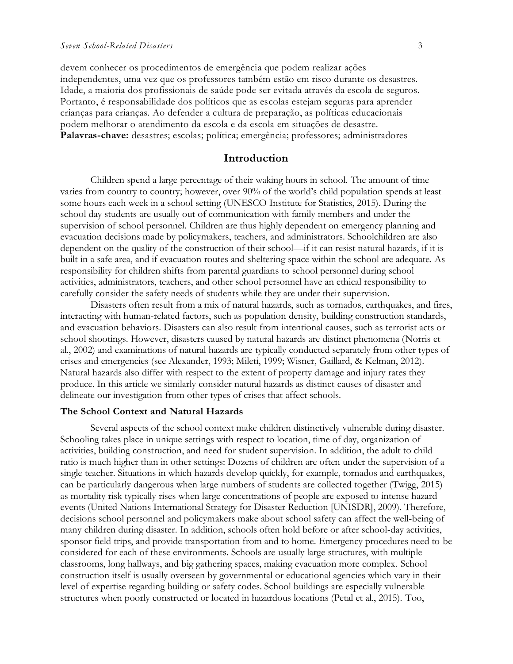devem conhecer os procedimentos de emergência que podem realizar ações independentes, uma vez que os professores também estão em risco durante os desastres. Idade, a maioria dos profissionais de saúde pode ser evitada através da escola de seguros. Portanto, é responsabilidade dos políticos que as escolas estejam seguras para aprender crianças para crianças. Ao defender a cultura de preparação, as políticas educacionais podem melhorar o atendimento da escola e da escola em situações de desastre. **Palavras-chave:** desastres; escolas; política; emergência; professores; administradores

#### **Introduction**

Children spend a large percentage of their waking hours in school. The amount of time varies from country to country; however, over 90% of the world's child population spends at least some hours each week in a school setting (UNESCO Institute for Statistics, 2015). During the school day students are usually out of communication with family members and under the supervision of school personnel. Children are thus highly dependent on emergency planning and evacuation decisions made by policymakers, teachers, and administrators. Schoolchildren are also dependent on the quality of the construction of their school—if it can resist natural hazards, if it is built in a safe area, and if evacuation routes and sheltering space within the school are adequate. As responsibility for children shifts from parental guardians to school personnel during school activities, administrators, teachers, and other school personnel have an ethical responsibility to carefully consider the safety needs of students while they are under their supervision.

Disasters often result from a mix of natural hazards, such as tornados, earthquakes, and fires, interacting with human-related factors, such as population density, building construction standards, and evacuation behaviors. Disasters can also result from intentional causes, such as terrorist acts or school shootings. However, disasters caused by natural hazards are distinct phenomena (Norris et al., 2002) and examinations of natural hazards are typically conducted separately from other types of crises and emergencies (see Alexander, 1993; Mileti, 1999; Wisner, Gaillard, & Kelman, 2012). Natural hazards also differ with respect to the extent of property damage and injury rates they produce. In this article we similarly consider natural hazards as distinct causes of disaster and delineate our investigation from other types of crises that affect schools.

#### **The School Context and Natural Hazards**

Several aspects of the school context make children distinctively vulnerable during disaster. Schooling takes place in unique settings with respect to location, time of day, organization of activities, building construction, and need for student supervision. In addition, the adult to child ratio is much higher than in other settings: Dozens of children are often under the supervision of a single teacher. Situations in which hazards develop quickly, for example, tornados and earthquakes, can be particularly dangerous when large numbers of students are collected together (Twigg, 2015) as mortality risk typically rises when large concentrations of people are exposed to intense hazard events (United Nations International Strategy for Disaster Reduction [UNISDR], 2009). Therefore, decisions school personnel and policymakers make about school safety can affect the well-being of many children during disaster. In addition, schools often hold before or after school-day activities, sponsor field trips, and provide transportation from and to home. Emergency procedures need to be considered for each of these environments. Schools are usually large structures, with multiple classrooms, long hallways, and big gathering spaces, making evacuation more complex. School construction itself is usually overseen by governmental or educational agencies which vary in their level of expertise regarding building or safety codes. School buildings are especially vulnerable structures when poorly constructed or located in hazardous locations (Petal et al., 2015). Too,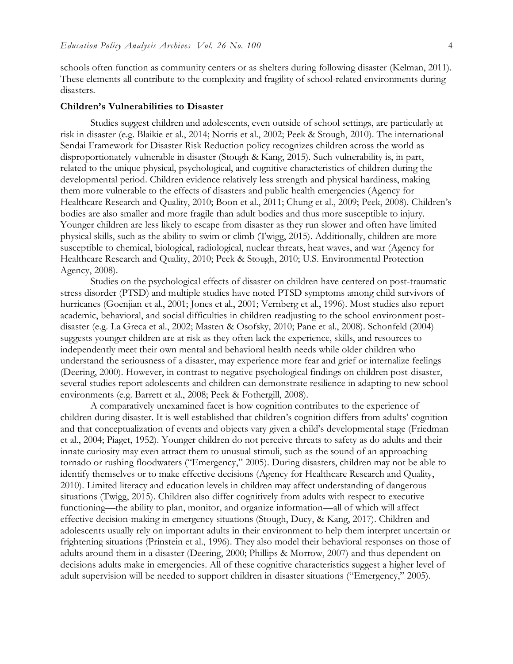schools often function as community centers or as shelters during following disaster (Kelman, 2011). These elements all contribute to the complexity and fragility of school-related environments during disasters.

#### **Children's Vulnerabilities to Disaster**

Studies suggest children and adolescents, even outside of school settings, are particularly at risk in disaster (e.g. Blaikie et al., 2014; Norris et al., 2002; Peek & Stough, 2010). The international Sendai Framework for Disaster Risk Reduction policy recognizes children across the world as disproportionately vulnerable in disaster (Stough & Kang, 2015). Such vulnerability is, in part, related to the unique physical, psychological, and cognitive characteristics of children during the developmental period. Children evidence relatively less strength and physical hardiness, making them more vulnerable to the effects of disasters and public health emergencies (Agency for Healthcare Research and Quality, 2010; Boon et al., 2011; Chung et al., 2009; Peek, 2008). Children's bodies are also smaller and more fragile than adult bodies and thus more susceptible to injury. Younger children are less likely to escape from disaster as they run slower and often have limited physical skills, such as the ability to swim or climb (Twigg, 2015). Additionally, children are more susceptible to chemical, biological, radiological, nuclear threats, heat waves, and war (Agency for Healthcare Research and Quality, 2010; Peek & Stough, 2010; U.S. Environmental Protection Agency, 2008).

Studies on the psychological effects of disaster on children have centered on post-traumatic stress disorder (PTSD) and multiple studies have noted PTSD symptoms among child survivors of hurricanes (Goenjian et al., 2001; Jones et al., 2001; Vernberg et al., 1996). Most studies also report academic, behavioral, and social difficulties in children readjusting to the school environment postdisaster (e.g. La Greca et al., 2002; Masten & Osofsky, 2010; Pane et al., 2008). Schonfeld (2004) suggests younger children are at risk as they often lack the experience, skills, and resources to independently meet their own mental and behavioral health needs while older children who understand the seriousness of a disaster, may experience more fear and grief or internalize feelings (Deering, 2000). However, in contrast to negative psychological findings on children post-disaster, several studies report adolescents and children can demonstrate resilience in adapting to new school environments (e.g. Barrett et al., 2008; Peek & Fothergill, 2008).

A comparatively unexamined facet is how cognition contributes to the experience of children during disaster. It is well established that children's cognition differs from adults' cognition and that conceptualization of events and objects vary given a child's developmental stage (Friedman et al., 2004; Piaget, 1952). Younger children do not perceive threats to safety as do adults and their innate curiosity may even attract them to unusual stimuli, such as the sound of an approaching tornado or rushing floodwaters ("Emergency," 2005). During disasters, children may not be able to identify themselves or to make effective decisions (Agency for Healthcare Research and Quality, 2010). Limited literacy and education levels in children may affect understanding of dangerous situations (Twigg, 2015). Children also differ cognitively from adults with respect to executive functioning—the ability to plan, monitor, and organize information—all of which will affect effective decision-making in emergency situations (Stough, Ducy, & Kang, 2017). Children and adolescents usually rely on important adults in their environment to help them interpret uncertain or frightening situations (Prinstein et al., 1996). They also model their behavioral responses on those of adults around them in a disaster (Deering, 2000; Phillips & Morrow, 2007) and thus dependent on decisions adults make in emergencies. All of these cognitive characteristics suggest a higher level of adult supervision will be needed to support children in disaster situations ("Emergency," 2005).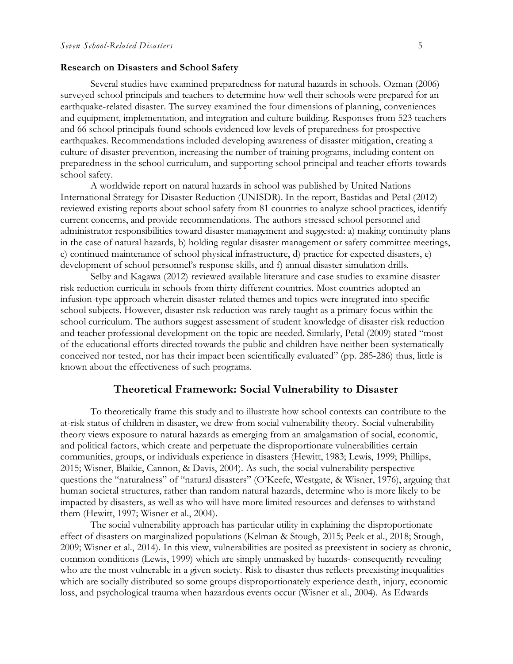#### **Research on Disasters and School Safety**

Several studies have examined preparedness for natural hazards in schools. Ozman (2006) surveyed school principals and teachers to determine how well their schools were prepared for an earthquake-related disaster. The survey examined the four dimensions of planning, conveniences and equipment, implementation, and integration and culture building. Responses from 523 teachers and 66 school principals found schools evidenced low levels of preparedness for prospective earthquakes. Recommendations included developing awareness of disaster mitigation, creating a culture of disaster prevention, increasing the number of training programs, including content on preparedness in the school curriculum, and supporting school principal and teacher efforts towards school safety.

A worldwide report on natural hazards in school was published by United Nations International Strategy for Disaster Reduction (UNISDR). In the report, Bastidas and Petal (2012) reviewed existing reports about school safety from 81 countries to analyze school practices, identify current concerns, and provide recommendations. The authors stressed school personnel and administrator responsibilities toward disaster management and suggested: a) making continuity plans in the case of natural hazards, b) holding regular disaster management or safety committee meetings, c) continued maintenance of school physical infrastructure, d) practice for expected disasters, e) development of school personnel's response skills, and f) annual disaster simulation drills.

Selby and Kagawa (2012) reviewed available literature and case studies to examine disaster risk reduction curricula in schools from thirty different countries. Most countries adopted an infusion-type approach wherein disaster-related themes and topics were integrated into specific school subjects. However, disaster risk reduction was rarely taught as a primary focus within the school curriculum. The authors suggest assessment of student knowledge of disaster risk reduction and teacher professional development on the topic are needed. Similarly, Petal (2009) stated "most of the educational efforts directed towards the public and children have neither been systematically conceived nor tested, nor has their impact been scientifically evaluated" (pp. 285-286) thus, little is known about the effectiveness of such programs.

#### **Theoretical Framework: Social Vulnerability to Disaster**

To theoretically frame this study and to illustrate how school contexts can contribute to the at-risk status of children in disaster, we drew from social vulnerability theory. Social vulnerability theory views exposure to natural hazards as emerging from an amalgamation of social, economic, and political factors, which create and perpetuate the disproportionate vulnerabilities certain communities, groups, or individuals experience in disasters (Hewitt, 1983; Lewis, 1999; Phillips, 2015; Wisner, Blaikie, Cannon, & Davis, 2004). As such, the social vulnerability perspective questions the "naturalness" of "natural disasters" (O'Keefe, Westgate, & Wisner, 1976), arguing that human societal structures, rather than random natural hazards, determine who is more likely to be impacted by disasters, as well as who will have more limited resources and defenses to withstand them (Hewitt, 1997; Wisner et al., 2004).

The social vulnerability approach has particular utility in explaining the disproportionate effect of disasters on marginalized populations (Kelman & Stough, 2015; Peek et al., 2018; Stough, 2009; Wisner et al., 2014). In this view, vulnerabilities are posited as preexistent in society as chronic, common conditions (Lewis, 1999) which are simply unmasked by hazards- consequently revealing who are the most vulnerable in a given society. Risk to disaster thus reflects preexisting inequalities which are socially distributed so some groups disproportionately experience death, injury, economic loss, and psychological trauma when hazardous events occur (Wisner et al., 2004). As Edwards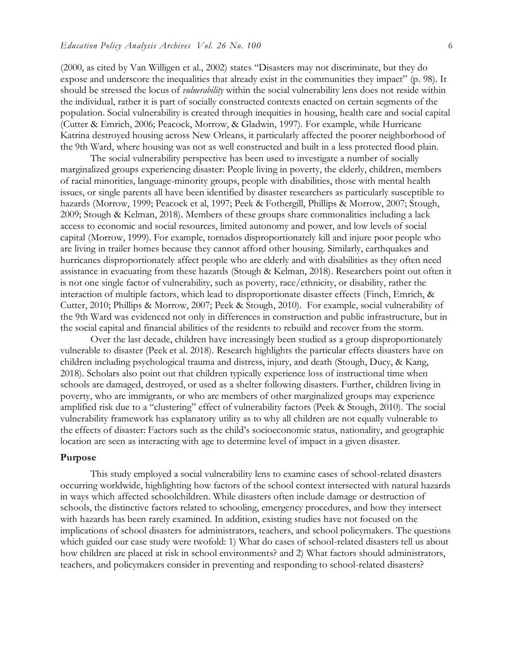(2000, as cited by Van Willigen et al., 2002) states "Disasters may not discriminate, but they do expose and underscore the inequalities that already exist in the communities they impact" (p. 98). It should be stressed the locus of *vulnerability* within the social vulnerability lens does not reside within the individual, rather it is part of socially constructed contexts enacted on certain segments of the population. Social vulnerability is created through inequities in housing, health care and social capital (Cutter & Emrich, 2006; Peacock, Morrow, & Gladwin, 1997). For example, while Hurricane Katrina destroyed housing across New Orleans, it particularly affected the poorer neighborhood of the 9th Ward, where housing was not as well constructed and built in a less protected flood plain.

The social vulnerability perspective has been used to investigate a number of socially marginalized groups experiencing disaster: People living in poverty, the elderly, children, members of racial minorities, language-minority groups, people with disabilities, those with mental health issues, or single parents all have been identified by disaster researchers as particularly susceptible to hazards (Morrow, 1999; Peacock et al, 1997; Peek & Fothergill, Phillips & Morrow, 2007; Stough, 2009; Stough & Kelman, 2018). Members of these groups share commonalities including a lack access to economic and social resources, limited autonomy and power, and low levels of social capital (Morrow, 1999). For example, tornados disproportionately kill and injure poor people who are living in trailer homes because they cannot afford other housing. Similarly, earthquakes and hurricanes disproportionately affect people who are elderly and with disabilities as they often need assistance in evacuating from these hazards (Stough & Kelman, 2018). Researchers point out often it is not one single factor of vulnerability, such as poverty, race/ethnicity, or disability, rather the interaction of multiple factors, which lead to disproportionate disaster effects (Finch, Emrich, & Cutter, 2010; Phillips & Morrow, 2007; Peek & Stough, 2010). For example, social vulnerability of the 9th Ward was evidenced not only in differences in construction and public infrastructure, but in the social capital and financial abilities of the residents to rebuild and recover from the storm.

Over the last decade, children have increasingly been studied as a group disproportionately vulnerable to disaster (Peek et al. 2018). Research highlights the particular effects disasters have on children including psychological trauma and distress, injury, and death (Stough, Ducy, & Kang, 2018). Scholars also point out that children typically experience loss of instructional time when schools are damaged, destroyed, or used as a shelter following disasters. Further, children living in poverty, who are immigrants, or who are members of other marginalized groups may experience amplified risk due to a "clustering" effect of vulnerability factors (Peek & Stough, 2010). The social vulnerability framework has explanatory utility as to why all children are not equally vulnerable to the effects of disaster: Factors such as the child's socioeconomic status, nationality, and geographic location are seen as interacting with age to determine level of impact in a given disaster.

#### **Purpose**

This study employed a social vulnerability lens to examine cases of school-related disasters occurring worldwide, highlighting how factors of the school context intersected with natural hazards in ways which affected schoolchildren. While disasters often include damage or destruction of schools, the distinctive factors related to schooling, emergency procedures, and how they intersect with hazards has been rarely examined. In addition, existing studies have not focused on the implications of school disasters for administrators, teachers, and school policymakers. The questions which guided our case study were twofold: 1) What do cases of school-related disasters tell us about how children are placed at risk in school environments? and 2) What factors should administrators, teachers, and policymakers consider in preventing and responding to school-related disasters?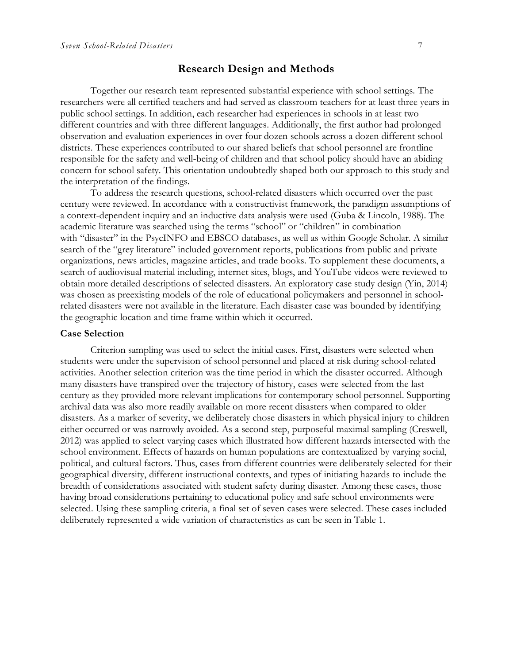#### **Research Design and Methods**

Together our research team represented substantial experience with school settings. The researchers were all certified teachers and had served as classroom teachers for at least three years in public school settings. In addition, each researcher had experiences in schools in at least two different countries and with three different languages. Additionally, the first author had prolonged observation and evaluation experiences in over four dozen schools across a dozen different school districts. These experiences contributed to our shared beliefs that school personnel are frontline responsible for the safety and well-being of children and that school policy should have an abiding concern for school safety. This orientation undoubtedly shaped both our approach to this study and the interpretation of the findings.

To address the research questions, school-related disasters which occurred over the past century were reviewed. In accordance with a constructivist framework, the paradigm assumptions of a context-dependent inquiry and an inductive data analysis were used (Guba & Lincoln, 1988). The academic literature was searched using the terms "school" or "children" in combination with "disaster" in the PsycINFO and EBSCO databases, as well as within Google Scholar. A similar search of the "grey literature" included government reports, publications from public and private organizations, news articles, magazine articles, and trade books. To supplement these documents, a search of audiovisual material including, internet sites, blogs, and YouTube videos were reviewed to obtain more detailed descriptions of selected disasters. An exploratory case study design (Yin, 2014) was chosen as preexisting models of the role of educational policymakers and personnel in schoolrelated disasters were not available in the literature. Each disaster case was bounded by identifying the geographic location and time frame within which it occurred.

#### **Case Selection**

Criterion sampling was used to select the initial cases. First, disasters were selected when students were under the supervision of school personnel and placed at risk during school-related activities. Another selection criterion was the time period in which the disaster occurred. Although many disasters have transpired over the trajectory of history, cases were selected from the last century as they provided more relevant implications for contemporary school personnel. Supporting archival data was also more readily available on more recent disasters when compared to older disasters. As a marker of severity, we deliberately chose disasters in which physical injury to children either occurred or was narrowly avoided. As a second step, purposeful maximal sampling (Creswell, 2012) was applied to select varying cases which illustrated how different hazards intersected with the school environment. Effects of hazards on human populations are contextualized by varying social, political, and cultural factors. Thus, cases from different countries were deliberately selected for their geographical diversity, different instructional contexts, and types of initiating hazards to include the breadth of considerations associated with student safety during disaster. Among these cases, those having broad considerations pertaining to educational policy and safe school environments were selected. Using these sampling criteria, a final set of seven cases were selected. These cases included deliberately represented a wide variation of characteristics as can be seen in Table 1.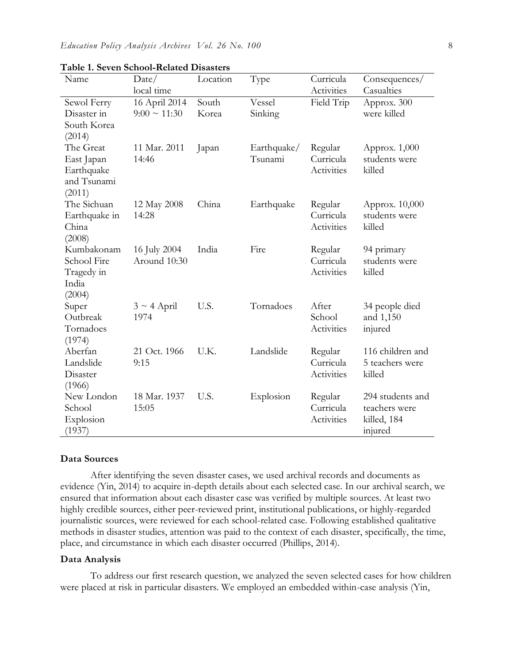| Name          | Date/             | Location | Type        | Curricula  | Consequences/    |
|---------------|-------------------|----------|-------------|------------|------------------|
|               | local time        |          |             | Activities | Casualties       |
| Sewol Ferry   | 16 April 2014     | South    | Vessel      | Field Trip | Approx. 300      |
| Disaster in   | $9:00 \sim 11:30$ | Korea    | Sinking     |            | were killed      |
| South Korea   |                   |          |             |            |                  |
| (2014)        |                   |          |             |            |                  |
| The Great     | 11 Mar. 2011      | Japan    | Earthquake/ | Regular    | Approx. 1,000    |
| East Japan    | 14:46             |          | Tsunami     | Curricula  | students were    |
| Earthquake    |                   |          |             | Activities | killed           |
| and Tsunami   |                   |          |             |            |                  |
| (2011)        |                   |          |             |            |                  |
| The Sichuan   | 12 May 2008       | China    | Earthquake  | Regular    | Approx. 10,000   |
| Earthquake in | 14:28             |          |             | Curricula  | students were    |
| China         |                   |          |             | Activities | killed           |
| (2008)        |                   |          |             |            |                  |
| Kumbakonam    | 16 July 2004      | India    | Fire        | Regular    | 94 primary       |
| School Fire   | Around 10:30      |          |             | Curricula  | students were    |
| Tragedy in    |                   |          |             | Activities | killed           |
| India         |                   |          |             |            |                  |
| (2004)        |                   |          |             |            |                  |
| Super         | $3 \sim 4$ April  | U.S.     | Tornadoes   | After      | 34 people died   |
| Outbreak      | 1974              |          |             | School     | and 1,150        |
| Tornadoes     |                   |          |             | Activities | injured          |
| (1974)        |                   |          |             |            |                  |
| Aberfan       | 21 Oct. 1966      | U.K.     | Landslide   | Regular    | 116 children and |
| Landslide     | 9:15              |          |             | Curricula  | 5 teachers were  |
| Disaster      |                   |          |             | Activities | killed           |
| (1966)        |                   |          |             |            |                  |
| New London    | 18 Mar. 1937      | U.S.     | Explosion   | Regular    | 294 students and |
| School        | 15:05             |          |             | Curricula  | teachers were    |
| Explosion     |                   |          |             | Activities | killed, 184      |
| (1937)        |                   |          |             |            | injured          |

**Table 1. Seven School-Related Disasters**

#### **Data Sources**

After identifying the seven disaster cases, we used archival records and documents as evidence (Yin, 2014) to acquire in-depth details about each selected case. In our archival search, we ensured that information about each disaster case was verified by multiple sources. At least two highly credible sources, either peer-reviewed print, institutional publications, or highly-regarded journalistic sources, were reviewed for each school-related case. Following established qualitative methods in disaster studies, attention was paid to the context of each disaster, specifically, the time, place, and circumstance in which each disaster occurred (Phillips, 2014).

#### **Data Analysis**

To address our first research question, we analyzed the seven selected cases for how children were placed at risk in particular disasters. We employed an embedded within-case analysis (Yin,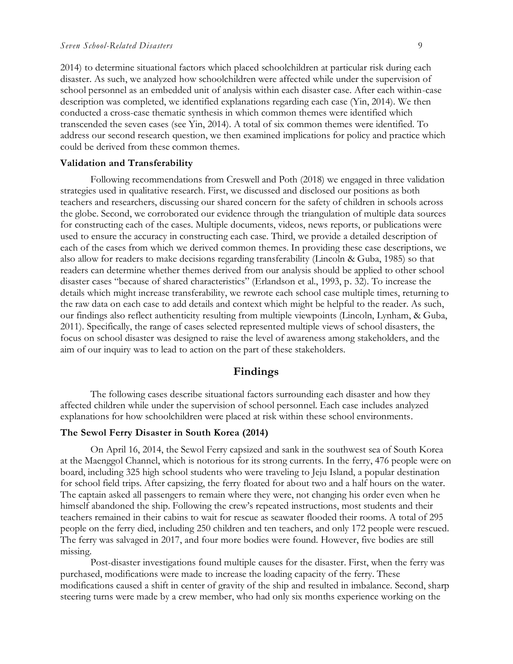2014) to determine situational factors which placed schoolchildren at particular risk during each disaster. As such, we analyzed how schoolchildren were affected while under the supervision of school personnel as an embedded unit of analysis within each disaster case. After each within-case description was completed, we identified explanations regarding each case (Yin, 2014). We then conducted a cross-case thematic synthesis in which common themes were identified which transcended the seven cases (see Yin, 2014). A total of six common themes were identified. To address our second research question, we then examined implications for policy and practice which could be derived from these common themes.

#### **Validation and Transferability**

Following recommendations from Creswell and Poth (2018) we engaged in three validation strategies used in qualitative research. First, we discussed and disclosed our positions as both teachers and researchers, discussing our shared concern for the safety of children in schools across the globe. Second, we corroborated our evidence through the triangulation of multiple data sources for constructing each of the cases. Multiple documents, videos, news reports, or publications were used to ensure the accuracy in constructing each case. Third, we provide a detailed description of each of the cases from which we derived common themes. In providing these case descriptions, we also allow for readers to make decisions regarding transferability (Lincoln & Guba, 1985) so that readers can determine whether themes derived from our analysis should be applied to other school disaster cases "because of shared characteristics" (Erlandson et al., 1993, p. 32). To increase the details which might increase transferability, we rewrote each school case multiple times, returning to the raw data on each case to add details and context which might be helpful to the reader. As such, our findings also reflect authenticity resulting from multiple viewpoints (Lincoln, Lynham, & Guba, 2011). Specifically, the range of cases selected represented multiple views of school disasters, the focus on school disaster was designed to raise the level of awareness among stakeholders, and the aim of our inquiry was to lead to action on the part of these stakeholders.

#### **Findings**

The following cases describe situational factors surrounding each disaster and how they affected children while under the supervision of school personnel. Each case includes analyzed explanations for how schoolchildren were placed at risk within these school environments.

#### **The Sewol Ferry Disaster in South Korea (2014)**

On April 16, 2014, the Sewol Ferry capsized and sank in the southwest sea of South Korea at the Maenggol Channel, which is notorious for its strong currents. In the ferry, 476 people were on board, including 325 high school students who were traveling to Jeju Island, a popular destination for school field trips. After capsizing, the ferry floated for about two and a half hours on the water. The captain asked all passengers to remain where they were, not changing his order even when he himself abandoned the ship. Following the crew's repeated instructions, most students and their teachers remained in their cabins to wait for rescue as seawater flooded their rooms. A total of 295 people on the ferry died, including 250 children and ten teachers, and only 172 people were rescued. The ferry was salvaged in 2017, and four more bodies were found. However, five bodies are still missing.

Post-disaster investigations found multiple causes for the disaster. First, when the ferry was purchased, modifications were made to increase the loading capacity of the ferry. These modifications caused a shift in center of gravity of the ship and resulted in imbalance. Second, sharp steering turns were made by a crew member, who had only six months experience working on the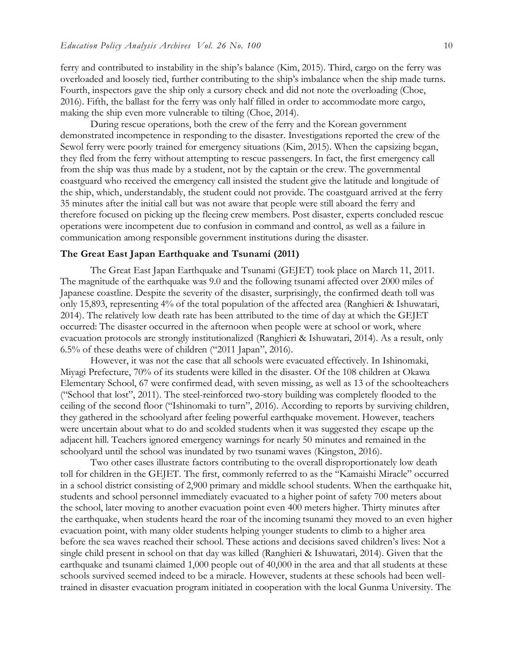ferry and contributed to instability in the ship's balance (Kim, 2015). Third, cargo on the ferry was overloaded and loosely tied, further contributing to the ship's imbalance when the ship made turns. Fourth, inspectors gave the ship only a cursory check and did not note the overloading (Choe, 2016). Fifth, the ballast for the ferry was only half filled in order to accommodate more cargo, making the ship even more vulnerable to tilting (Choe, 2014).

During rescue operations, both the crew of the ferry and the Korean government demonstrated incompetence in responding to the disaster. Investigations reported the crew of the Sewol ferry were poorly trained for emergency situations (Kim, 2015). When the capsizing began, they fled from the ferry without attempting to rescue passengers. In fact, the first emergency call from the ship was thus made by a student, not by the captain or the crew. The governmental coastguard who received the emergency call insisted the student give the latitude and longitude of the ship, which, understandably, the student could not provide. The coastguard arrived at the ferry 35 minutes after the initial call but was not aware that people were still aboard the ferry and therefore focused on picking up the fleeing crew members. Post disaster, experts concluded rescue operations were incompetent due to confusion in command and control, as well as a failure in communication among responsible government institutions during the disaster.

#### **The Great East Japan Earthquake and Tsunami (2011)**

The Great East Japan Earthquake and Tsunami (GEJET) took place on March 11, 2011. The magnitude of the earthquake was 9.0 and the following tsunami affected over 2000 miles of Japanese coastline. Despite the severity of the disaster, surprisingly, the confirmed death toll was only 15,893, representing 4% of the total population of the affected area (Ranghieri & Ishuwatari, 2014). The relatively low death rate has been attributed to the time of day at which the GEJET occurred: The disaster occurred in the afternoon when people were at school or work, where evacuation protocols are strongly institutionalized (Ranghieri & Ishuwatari, 2014). As a result, only 6.5% of these deaths were of children ("2011 Japan", 2016).

However, it was not the case that all schools were evacuated effectively. In Ishinomaki, Miyagi Prefecture, 70% of its students were killed in the disaster. Of the 108 children at Okawa Elementary School, 67 were confirmed dead, with seven missing, as well as 13 of the schoolteachers ("School that lost", 2011). The steel-reinforced two-story building was completely flooded to the ceiling of the second floor ("Ishinomaki to turn", 2016). According to reports by surviving children, they gathered in the schoolyard after feeling powerful earthquake movement. However, teachers were uncertain about what to do and scolded students when it was suggested they escape up the adjacent hill. Teachers ignored emergency warnings for nearly 50 minutes and remained in the schoolyard until the school was inundated by two tsunami waves (Kingston, 2016).

Two other cases illustrate factors contributing to the overall disproportionately low death toll for children in the GEJET. The first, commonly referred to as the "Kamaishi Miracle" occurred in a school district consisting of 2,900 primary and middle school students. When the earthquake hit, students and school personnel immediately evacuated to a higher point of safety 700 meters about the school, later moving to another evacuation point even 400 meters higher. Thirty minutes after the earthquake, when students heard the roar of the incoming tsunami they moved to an even higher evacuation point, with many older students helping younger students to climb to a higher area before the sea waves reached their school. These actions and decisions saved children's lives: Not a single child present in school on that day was killed (Ranghieri & Ishuwatari, 2014). Given that the earthquake and tsunami claimed 1,000 people out of 40,000 in the area and that all students at these schools survived seemed indeed to be a miracle. However, students at these schools had been welltrained in disaster evacuation program initiated in cooperation with the local Gunma University. The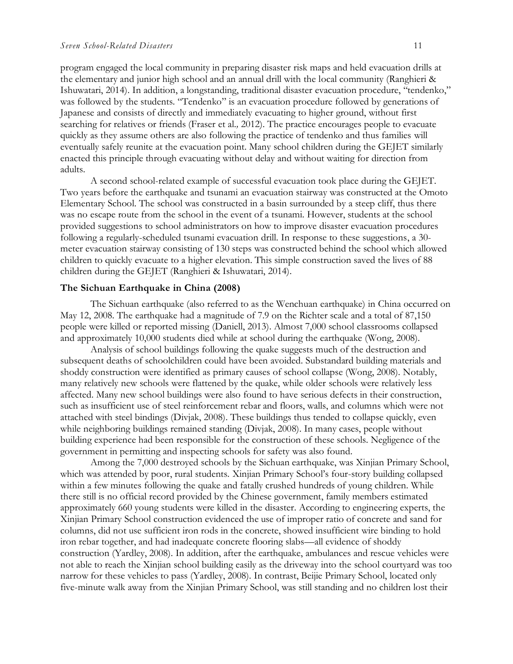program engaged the local community in preparing disaster risk maps and held evacuation drills at the elementary and junior high school and an annual drill with the local community (Ranghieri & Ishuwatari, 2014). In addition, a longstanding, traditional disaster evacuation procedure, "tendenko," was followed by the students. "Tendenko" is an evacuation procedure followed by generations of Japanese and consists of directly and immediately evacuating to higher ground, without first searching for relatives or friends (Fraser et al.*,* 2012). The practice encourages people to evacuate quickly as they assume others are also following the practice of tendenko and thus families will eventually safely reunite at the evacuation point. Many school children during the GEJET similarly enacted this principle through evacuating without delay and without waiting for direction from adults.

A second school-related example of successful evacuation took place during the GEJET. Two years before the earthquake and tsunami an evacuation stairway was constructed at the Omoto Elementary School. The school was constructed in a basin surrounded by a steep cliff, thus there was no escape route from the school in the event of a tsunami. However, students at the school provided suggestions to school administrators on how to improve disaster evacuation procedures following a regularly-scheduled tsunami evacuation drill. In response to these suggestions, a 30 meter evacuation stairway consisting of 130 steps was constructed behind the school which allowed children to quickly evacuate to a higher elevation. This simple construction saved the lives of 88 children during the GEJET (Ranghieri & Ishuwatari, 2014).

#### **The Sichuan Earthquake in China (2008)**

The Sichuan earthquake (also referred to as the Wenchuan earthquake) in China occurred on May 12, 2008. The earthquake had a magnitude of 7.9 on the Richter scale and a total of 87,150 people were killed or reported missing (Daniell, 2013). Almost 7,000 school classrooms collapsed and approximately 10,000 students died while at school during the earthquake (Wong, 2008).

Analysis of school buildings following the quake suggests much of the destruction and subsequent deaths of schoolchildren could have been avoided. Substandard building materials and shoddy construction were identified as primary causes of school collapse (Wong, 2008). Notably, many relatively new schools were flattened by the quake, while older schools were relatively less affected. Many new school buildings were also found to have serious defects in their construction, such as insufficient use of steel reinforcement rebar and floors, walls, and columns which were not attached with steel bindings (Divjak, 2008). These buildings thus tended to collapse quickly, even while neighboring buildings remained standing (Divjak, 2008). In many cases, people without building experience had been responsible for the construction of these schools. Negligence of the government in permitting and inspecting schools for safety was also found.

Among the 7,000 destroyed schools by the Sichuan earthquake, was Xinjian Primary School, which was attended by poor, rural students. Xinjian Primary School's four-story building collapsed within a few minutes following the quake and fatally crushed hundreds of young children. While there still is no official record provided by the Chinese government, family members estimated approximately 660 young students were killed in the disaster. According to engineering experts, the Xinjian Primary School construction evidenced the use of improper ratio of concrete and sand for columns, did not use sufficient iron rods in the concrete, showed insufficient wire binding to hold iron rebar together, and had inadequate concrete flooring slabs—all evidence of shoddy construction (Yardley, 2008). In addition, after the earthquake, ambulances and rescue vehicles were not able to reach the Xinjian school building easily as the driveway into the school courtyard was too narrow for these vehicles to pass (Yardley, 2008). In contrast, Beijie Primary School, located only five-minute walk away from the Xinjian Primary School, was still standing and no children lost their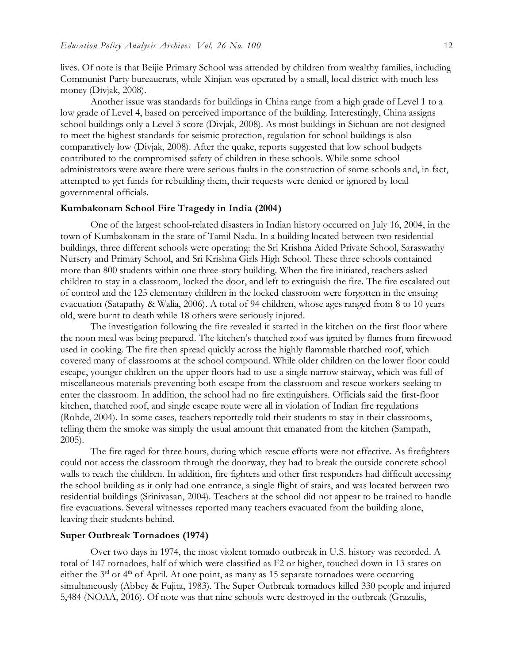lives. Of note is that Beijie Primary School was attended by children from wealthy families, including Communist Party bureaucrats, while Xinjian was operated by a small, local district with much less money (Divjak, 2008).

Another issue was standards for buildings in China range from a high grade of Level 1 to a low grade of Level 4, based on perceived importance of the building. Interestingly, China assigns school buildings only a Level 3 score (Divjak, 2008). As most buildings in Sichuan are not designed to meet the highest standards for seismic protection, regulation for school buildings is also comparatively low (Divjak, 2008). After the quake, reports suggested that low school budgets contributed to the compromised safety of children in these schools. While some school administrators were aware there were serious faults in the construction of some schools and, in fact, attempted to get funds for rebuilding them, their requests were denied or ignored by local governmental officials.

#### **Kumbakonam School Fire Tragedy in India (2004)**

One of the largest school-related disasters in Indian history occurred on July 16, 2004, in the town of Kumbakonam in the state of Tamil Nadu. In a building located between two residential buildings, three different schools were operating: the Sri Krishna Aided Private School, Saraswathy Nursery and Primary School, and Sri Krishna Girls High School. These three schools contained more than 800 students within one three-story building. When the fire initiated, teachers asked children to stay in a classroom, locked the door, and left to extinguish the fire. The fire escalated out of control and the 125 elementary children in the locked classroom were forgotten in the ensuing evacuation (Satapathy & Walia, 2006). A total of 94 children, whose ages ranged from 8 to 10 years old, were burnt to death while 18 others were seriously injured.

The investigation following the fire revealed it started in the kitchen on the first floor where the noon meal was being prepared. The kitchen's thatched roof was ignited by flames from firewood used in cooking. The fire then spread quickly across the highly flammable thatched roof, which covered many of classrooms at the school compound. While older children on the lower floor could escape, younger children on the upper floors had to use a single narrow stairway, which was full of miscellaneous materials preventing both escape from the classroom and rescue workers seeking to enter the classroom. In addition, the school had no fire extinguishers. Officials said the first-floor kitchen, thatched roof, and single escape route were all in violation of Indian fire regulations (Rohde, 2004). In some cases, teachers reportedly told their students to stay in their classrooms, telling them the smoke was simply the usual amount that emanated from the kitchen (Sampath, 2005).

The fire raged for three hours, during which rescue efforts were not effective. As firefighters could not access the classroom through the doorway, they had to break the outside concrete school walls to reach the children. In addition, fire fighters and other first responders had difficult accessing the school building as it only had one entrance, a single flight of stairs, and was located between two residential buildings (Srinivasan, 2004). Teachers at the school did not appear to be trained to handle fire evacuations. Several witnesses reported many teachers evacuated from the building alone, leaving their students behind.

#### **Super Outbreak Tornadoes (1974)**

Over two days in 1974, the most violent tornado outbreak in U.S. history was recorded. A total of 147 tornadoes, half of which were classified as F2 or higher, touched down in 13 states on either the 3<sup>rd</sup> or 4<sup>th</sup> of April. At one point, as many as 15 separate tornadoes were occurring simultaneously (Abbey & Fujita, 1983). The Super Outbreak tornadoes killed 330 people and injured 5,484 (NOAA, 2016). Of note was that nine schools were destroyed in the outbreak (Grazulis,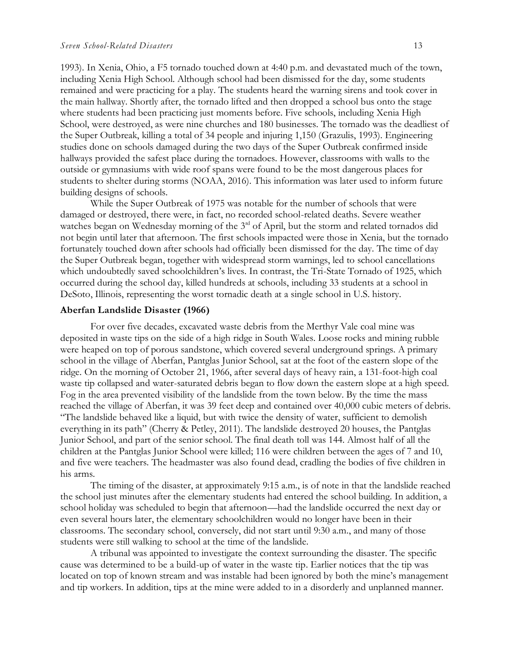1993). In Xenia, Ohio, a F5 tornado touched down at 4:40 p.m. and devastated much of the town, including Xenia High School. Although school had been dismissed for the day, some students remained and were practicing for a play. The students heard the warning sirens and took cover in the main hallway. Shortly after, the tornado lifted and then dropped a school bus onto the stage where students had been practicing just moments before. Five schools, including Xenia High School, were destroyed, as were nine churches and 180 businesses. The tornado was the deadliest of the Super Outbreak, killing a total of 34 people and injuring 1,150 (Grazulis, 1993). Engineering studies done on schools damaged during the two days of the Super Outbreak confirmed inside hallways provided the safest place during the tornadoes. However, classrooms with walls to the outside or gymnasiums with wide roof spans were found to be the most dangerous places for students to shelter during storms (NOAA, 2016). This information was later used to inform future building designs of schools.

While the Super Outbreak of 1975 was notable for the number of schools that were damaged or destroyed, there were, in fact, no recorded school-related deaths. Severe weather watches began on Wednesday morning of the 3<sup>rd</sup> of April, but the storm and related tornados did not begin until later that afternoon. The first schools impacted were those in Xenia, but the tornado fortunately touched down after schools had officially been dismissed for the day. The time of day the Super Outbreak began, together with widespread storm warnings, led to school cancellations which undoubtedly saved schoolchildren's lives. In contrast, the Tri-State Tornado of 1925, which occurred during the school day, killed hundreds at schools, including 33 students at a school in DeSoto, Illinois, representing the worst tornadic death at a single school in U.S. history.

#### **Aberfan Landslide Disaster (1966)**

For over five decades, excavated waste debris from the Merthyr Vale coal mine was deposited in waste tips on the side of a high ridge in South Wales. Loose rocks and mining rubble were heaped on top of porous sandstone, which covered several underground springs. A primary school in the village of Aberfan, Pantglas Junior School, sat at the foot of the eastern slope of the ridge. On the morning of October 21, 1966, after several days of heavy rain, a 131-foot-high coal waste tip collapsed and water-saturated debris began to flow down the eastern slope at a high speed. Fog in the area prevented visibility of the landslide from the town below. By the time the mass reached the village of Aberfan, it was 39 feet deep and contained over 40,000 cubic meters of debris. "The landslide behaved like a liquid, but with twice the density of water, sufficient to demolish everything in its path" (Cherry & Petley, 2011). The landslide destroyed 20 houses, the Pantglas Junior School, and part of the senior school. The final death toll was 144. Almost half of all the children at the Pantglas Junior School were killed; 116 were children between the ages of 7 and 10, and five were teachers. The headmaster was also found dead, cradling the bodies of five children in his arms.

The timing of the disaster, at approximately 9:15 a.m., is of note in that the landslide reached the school just minutes after the elementary students had entered the school building. In addition, a school holiday was scheduled to begin that afternoon—had the landslide occurred the next day or even several hours later, the elementary schoolchildren would no longer have been in their classrooms. The secondary school, conversely, did not start until 9:30 a.m., and many of those students were still walking to school at the time of the landslide.

A tribunal was appointed to investigate the context surrounding the disaster. The specific cause was determined to be a build-up of water in the waste tip. Earlier notices that the tip was located on top of known stream and was instable had been ignored by both the mine's management and tip workers. In addition, tips at the mine were added to in a disorderly and unplanned manner.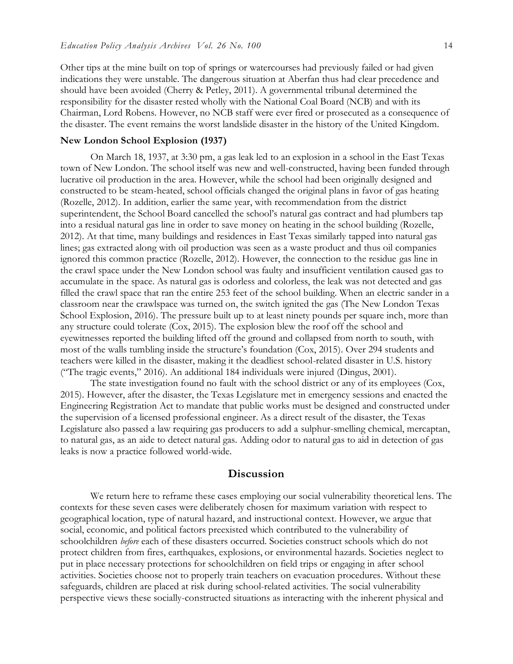Other tips at the mine built on top of springs or watercourses had previously failed or had given indications they were unstable. The dangerous situation at Aberfan thus had clear precedence and should have been avoided (Cherry & Petley, 2011). A governmental tribunal determined the responsibility for the disaster rested wholly with the National Coal Board (NCB) and with its Chairman, Lord Robens. However, no NCB staff were ever fired or prosecuted as a consequence of the disaster. The event remains the worst landslide disaster in the history of the United Kingdom.

#### **New London School Explosion (1937)**

On March 18, 1937, at 3:30 pm, a gas leak led to an explosion in a school in the East Texas town of New London. The school itself was new and well-constructed, having been funded through lucrative oil production in the area. However, while the school had been originally designed and constructed to be steam-heated, school officials changed the original plans in favor of gas heating (Rozelle, 2012). In addition, earlier the same year, with recommendation from the district superintendent, the School Board cancelled the school's natural gas contract and had plumbers tap into a residual natural gas line in order to save money on heating in the school building (Rozelle, 2012). At that time, many buildings and residences in East Texas similarly tapped into natural gas lines; gas extracted along with oil production was seen as a waste product and thus oil companies ignored this common practice (Rozelle, 2012). However, the connection to the residue gas line in the crawl space under the New London school was faulty and insufficient ventilation caused gas to accumulate in the space. As natural gas is odorless and colorless, the leak was not detected and gas filled the crawl space that ran the entire 253 feet of the school building. When an electric sander in a classroom near the crawlspace was turned on, the switch ignited the gas (The New London Texas School Explosion, 2016). The pressure built up to at least ninety pounds per square inch, more than any structure could tolerate (Cox, 2015). The explosion blew the roof off the school and eyewitnesses reported the building lifted off the ground and collapsed from north to south, with most of the walls tumbling inside the structure's foundation (Cox, 2015). Over 294 students and teachers were killed in the disaster, making it the deadliest school-related disaster in U.S. history ("The tragic events," 2016). An additional 184 individuals were injured (Dingus, 2001).

The state investigation found no fault with the school district or any of its employees (Cox, 2015). However, after the disaster, the Texas Legislature met in emergency sessions and enacted the Engineering Registration Act to mandate that public works must be designed and constructed under the supervision of a licensed professional engineer. As a direct result of the disaster, the Texas Legislature also passed a law requiring gas producers to add a sulphur-smelling chemical, mercaptan, to natural gas, as an aide to detect natural gas. Adding odor to natural gas to aid in detection of gas leaks is now a practice followed world-wide.

#### **Discussion**

We return here to reframe these cases employing our social vulnerability theoretical lens. The contexts for these seven cases were deliberately chosen for maximum variation with respect to geographical location, type of natural hazard, and instructional context. However, we argue that social, economic, and political factors preexisted which contributed to the vulnerability of schoolchildren *before* each of these disasters occurred. Societies construct schools which do not protect children from fires, earthquakes, explosions, or environmental hazards. Societies neglect to put in place necessary protections for schoolchildren on field trips or engaging in after school activities. Societies choose not to properly train teachers on evacuation procedures. Without these safeguards, children are placed at risk during school-related activities. The social vulnerability perspective views these socially-constructed situations as interacting with the inherent physical and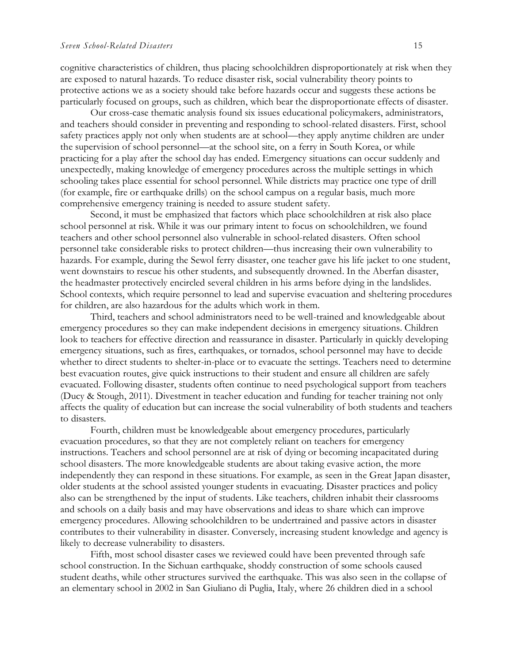cognitive characteristics of children, thus placing schoolchildren disproportionately at risk when they are exposed to natural hazards. To reduce disaster risk, social vulnerability theory points to protective actions we as a society should take before hazards occur and suggests these actions be particularly focused on groups, such as children, which bear the disproportionate effects of disaster.

Our cross-case thematic analysis found six issues educational policymakers, administrators, and teachers should consider in preventing and responding to school-related disasters. First, school safety practices apply not only when students are at school—they apply anytime children are under the supervision of school personnel—at the school site, on a ferry in South Korea, or while practicing for a play after the school day has ended. Emergency situations can occur suddenly and unexpectedly, making knowledge of emergency procedures across the multiple settings in which schooling takes place essential for school personnel. While districts may practice one type of drill (for example, fire or earthquake drills) on the school campus on a regular basis, much more comprehensive emergency training is needed to assure student safety.

Second, it must be emphasized that factors which place schoolchildren at risk also place school personnel at risk. While it was our primary intent to focus on schoolchildren, we found teachers and other school personnel also vulnerable in school-related disasters. Often school personnel take considerable risks to protect children—thus increasing their own vulnerability to hazards. For example, during the Sewol ferry disaster, one teacher gave his life jacket to one student, went downstairs to rescue his other students, and subsequently drowned. In the Aberfan disaster, the headmaster protectively encircled several children in his arms before dying in the landslides. School contexts, which require personnel to lead and supervise evacuation and sheltering procedures for children, are also hazardous for the adults which work in them.

Third, teachers and school administrators need to be well-trained and knowledgeable about emergency procedures so they can make independent decisions in emergency situations. Children look to teachers for effective direction and reassurance in disaster. Particularly in quickly developing emergency situations, such as fires, earthquakes, or tornados, school personnel may have to decide whether to direct students to shelter-in-place or to evacuate the settings. Teachers need to determine best evacuation routes, give quick instructions to their student and ensure all children are safely evacuated. Following disaster, students often continue to need psychological support from teachers (Ducy & Stough, 2011). Divestment in teacher education and funding for teacher training not only affects the quality of education but can increase the social vulnerability of both students and teachers to disasters.

Fourth, children must be knowledgeable about emergency procedures, particularly evacuation procedures, so that they are not completely reliant on teachers for emergency instructions. Teachers and school personnel are at risk of dying or becoming incapacitated during school disasters. The more knowledgeable students are about taking evasive action, the more independently they can respond in these situations. For example, as seen in the Great Japan disaster, older students at the school assisted younger students in evacuating. Disaster practices and policy also can be strengthened by the input of students. Like teachers, children inhabit their classrooms and schools on a daily basis and may have observations and ideas to share which can improve emergency procedures. Allowing schoolchildren to be undertrained and passive actors in disaster contributes to their vulnerability in disaster. Conversely, increasing student knowledge and agency is likely to decrease vulnerability to disasters.

Fifth, most school disaster cases we reviewed could have been prevented through safe school construction. In the Sichuan earthquake, shoddy construction of some schools caused student deaths, while other structures survived the earthquake. This was also seen in the collapse of an elementary school in 2002 in San Giuliano di Puglia, Italy, where 26 children died in a school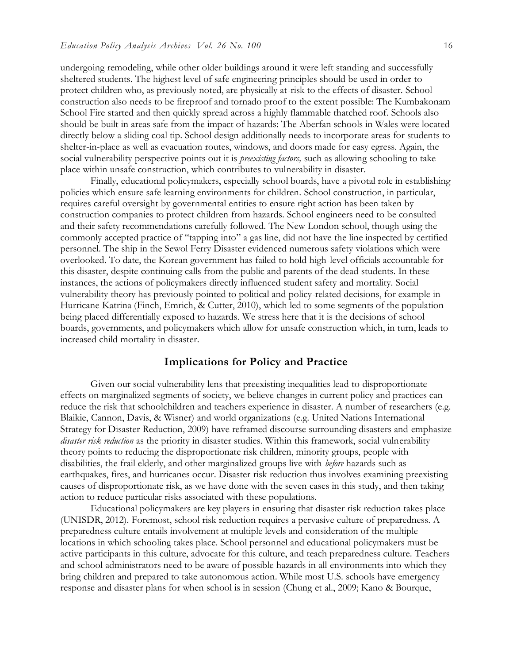undergoing remodeling, while other older buildings around it were left standing and successfully sheltered students. The highest level of safe engineering principles should be used in order to protect children who, as previously noted, are physically at-risk to the effects of disaster. School construction also needs to be fireproof and tornado proof to the extent possible: The Kumbakonam School Fire started and then quickly spread across a highly flammable thatched roof. Schools also should be built in areas safe from the impact of hazards: The Aberfan schools in Wales were located directly below a sliding coal tip. School design additionally needs to incorporate areas for students to shelter-in-place as well as evacuation routes, windows, and doors made for easy egress. Again, the social vulnerability perspective points out it is *preexisting factors,* such as allowing schooling to take place within unsafe construction, which contributes to vulnerability in disaster.

Finally, educational policymakers, especially school boards, have a pivotal role in establishing policies which ensure safe learning environments for children. School construction, in particular, requires careful oversight by governmental entities to ensure right action has been taken by construction companies to protect children from hazards. School engineers need to be consulted and their safety recommendations carefully followed. The New London school, though using the commonly accepted practice of "tapping into" a gas line, did not have the line inspected by certified personnel. The ship in the Sewol Ferry Disaster evidenced numerous safety violations which were overlooked. To date, the Korean government has failed to hold high-level officials accountable for this disaster, despite continuing calls from the public and parents of the dead students. In these instances, the actions of policymakers directly influenced student safety and mortality. Social vulnerability theory has previously pointed to political and policy-related decisions, for example in Hurricane Katrina (Finch, Emrich, & Cutter, 2010), which led to some segments of the population being placed differentially exposed to hazards. We stress here that it is the decisions of school boards, governments, and policymakers which allow for unsafe construction which, in turn, leads to increased child mortality in disaster.

#### **Implications for Policy and Practice**

Given our social vulnerability lens that preexisting inequalities lead to disproportionate effects on marginalized segments of society, we believe changes in current policy and practices can reduce the risk that schoolchildren and teachers experience in disaster. A number of researchers (e.g. Blaikie, Cannon, Davis, & Wisner) and world organizations (e.g. United Nations International Strategy for Disaster Reduction, 2009) have reframed discourse surrounding disasters and emphasize *disaster risk reduction* as the priority in disaster studies. Within this framework, social vulnerability theory points to reducing the disproportionate risk children, minority groups, people with disabilities, the frail elderly, and other marginalized groups live with *before* hazards such as earthquakes, fires, and hurricanes occur. Disaster risk reduction thus involves examining preexisting causes of disproportionate risk, as we have done with the seven cases in this study, and then taking action to reduce particular risks associated with these populations.

Educational policymakers are key players in ensuring that disaster risk reduction takes place (UNISDR, 2012). Foremost, school risk reduction requires a pervasive culture of preparedness. A preparedness culture entails involvement at multiple levels and consideration of the multiple locations in which schooling takes place. School personnel and educational policymakers must be active participants in this culture, advocate for this culture, and teach preparedness culture. Teachers and school administrators need to be aware of possible hazards in all environments into which they bring children and prepared to take autonomous action. While most U.S. schools have emergency response and disaster plans for when school is in session (Chung et al., 2009; Kano & Bourque,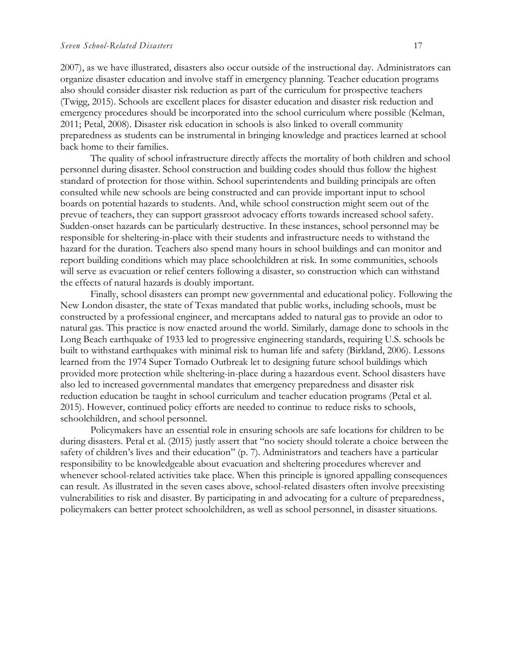2007), as we have illustrated, disasters also occur outside of the instructional day. Administrators can organize disaster education and involve staff in emergency planning. Teacher education programs also should consider disaster risk reduction as part of the curriculum for prospective teachers (Twigg, 2015). Schools are excellent places for disaster education and disaster risk reduction and emergency procedures should be incorporated into the school curriculum where possible (Kelman, 2011; Petal, 2008). Disaster risk education in schools is also linked to overall community preparedness as students can be instrumental in bringing knowledge and practices learned at school back home to their families.

The quality of school infrastructure directly affects the mortality of both children and school personnel during disaster. School construction and building codes should thus follow the highest standard of protection for those within. School superintendents and building principals are often consulted while new schools are being constructed and can provide important input to school boards on potential hazards to students. And, while school construction might seem out of the prevue of teachers, they can support grassroot advocacy efforts towards increased school safety. Sudden-onset hazards can be particularly destructive. In these instances, school personnel may be responsible for sheltering-in-place with their students and infrastructure needs to withstand the hazard for the duration. Teachers also spend many hours in school buildings and can monitor and report building conditions which may place schoolchildren at risk. In some communities, schools will serve as evacuation or relief centers following a disaster, so construction which can withstand the effects of natural hazards is doubly important.

Finally, school disasters can prompt new governmental and educational policy. Following the New London disaster, the state of Texas mandated that public works, including schools, must be constructed by a professional engineer, and mercaptans added to natural gas to provide an odor to natural gas. This practice is now enacted around the world. Similarly, damage done to schools in the Long Beach earthquake of 1933 led to progressive engineering standards, requiring U.S. schools be built to withstand earthquakes with minimal risk to human life and safety (Birkland, 2006). Lessons learned from the 1974 Super Tornado Outbreak let to designing future school buildings which provided more protection while sheltering-in-place during a hazardous event. School disasters have also led to increased governmental mandates that emergency preparedness and disaster risk reduction education be taught in school curriculum and teacher education programs (Petal et al. 2015). However, continued policy efforts are needed to continue to reduce risks to schools, schoolchildren, and school personnel.

Policymakers have an essential role in ensuring schools are safe locations for children to be during disasters. Petal et al. (2015) justly assert that "no society should tolerate a choice between the safety of children's lives and their education" (p. 7). Administrators and teachers have a particular responsibility to be knowledgeable about evacuation and sheltering procedures wherever and whenever school-related activities take place. When this principle is ignored appalling consequences can result. As illustrated in the seven cases above, school-related disasters often involve preexisting vulnerabilities to risk and disaster. By participating in and advocating for a culture of preparedness, policymakers can better protect schoolchildren, as well as school personnel, in disaster situations.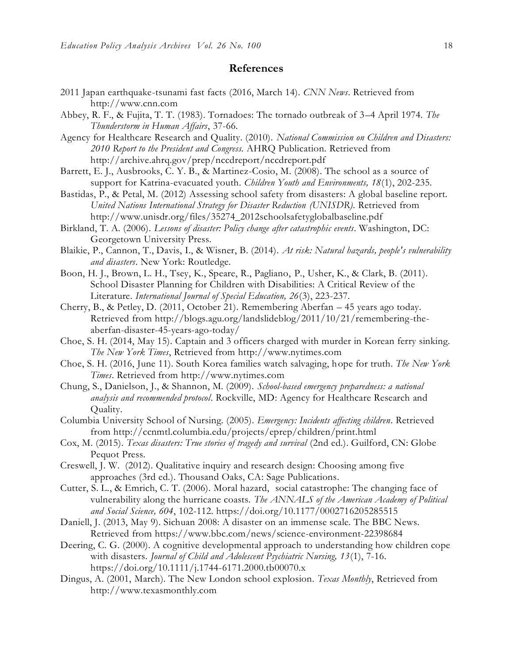#### **References**

- 2011 Japan earthquake-tsunami fast facts (2016, March 14). *CNN News*. Retrieved from [http://www.cnn.com](http://www.cnn.com/)
- Abbey, R. F., & Fujita, T. T. (1983). Tornadoes: The tornado outbreak of 3–4 April 1974. *The Thunderstorm in Human Affairs*, 37-66.
- Agency for Healthcare Research and Quality. (2010). *National Commission on Children and Disasters: 2010 Report to the President and Congress.* AHRQ Publication. Retrieved from <http://archive.ahrq.gov/prep/nccdreport/nccdreport.pdf>
- Barrett, E. J., Ausbrooks, C. Y. B., & Martinez-Cosio, M. (2008). The school as a source of support for Katrina-evacuated youth. *Children Youth and Environments, 18*(1), 202-235.
- Bastidas, P., & Petal, M. (2012) Assessing school safety from disasters: A global baseline report. *United Nations International Strategy for Disaster Reduction (UNISDR).* Retrieved from [http://www.unisdr.org/files/35274\\_2012schoolsafetyglobalbaseline.pdf](http://www.unisdr.org/files/35274_2012schoolsafetyglobalbaseline.pdf)
- Birkland, T. A. (2006). *Lessons of disaster: Policy change after catastrophic events*. Washington, DC: Georgetown University Press.
- Blaikie, P., Cannon, T., Davis, I., & Wisner, B. (2014). *At risk: Natural hazards, people's vulnerability and disasters*. New York: Routledge.
- Boon, H. J., Brown, L. H., Tsey, K., Speare, R., Pagliano, P., Usher, K., & Clark, B. (2011). School Disaster Planning for Children with Disabilities: A Critical Review of the Literature. *International Journal of Special Education, 26*(3), 223-237.
- Cherry, B., & Petley, D. (2011, October 21). Remembering Aberfan 45 years ago today. Retrieved from [http://blogs.agu.org/landslideblog/2011/10/21/remembering-the](http://blogs.agu.org/landslideblog/2011/10/21/remembering-the-aberfan-disaster-45-years-ago-today/)[aberfan-disaster-45-years-ago-today/](http://blogs.agu.org/landslideblog/2011/10/21/remembering-the-aberfan-disaster-45-years-ago-today/)
- Choe, S. H. (2014, May 15). Captain and 3 officers charged with murder in Korean ferry sinking. *The New York Times*, Retrieved from [http://www.nytimes.com](http://www.nytimes.com/)
- Choe, S. H. (2016, June 11). South Korea families watch salvaging, hope for truth. *The New York Times*. Retrieved from [http://www.nytimes.com](http://www.nytimes.com/)
- Chung, S., Danielson, J., & Shannon, M. (2009). *School-based emergency preparedness: a national analysis and recommended protocol*. Rockville, MD: Agency for Healthcare Research and Quality.
- Columbia University School of Nursing. (2005). *Emergency: Incidents affecting children.* Retrieved from<http://ccnmtl.columbia.edu/projects/eprep/children/print.html>
- Cox, M. (2015). *Texas disasters: True stories of tragedy and survival* (2nd ed.). Guilford, CN: Globe Pequot Press.
- Creswell, J. W. (2012). Qualitative inquiry and research design: Choosing among five approaches (3rd ed.). Thousand Oaks, CA: Sage Publications.
- Cutter, S. L., & Emrich, C. T. (2006). Moral hazard, social catastrophe: The changing face of vulnerability along the hurricane coasts. *The ANNALS of the American Academy of Political and Social Science, 604*, 102-112. https://doi.org/10.1177/0002716205285515
- Daniell, J. (2013, May 9). Sichuan 2008: A disaster on an immense scale. The BBC News. Retrieved from<https://www.bbc.com/news/science-environment-22398684>
- Deering, C. G. (2000). A cognitive developmental approach to understanding how children cope with disasters*. Journal of Child and Adolescent Psychiatric Nursing, 13*(1), 7-16. https://doi.org/10.1111/j.1744-6171.2000.tb00070.x
- Dingus, A. (2001, March). The New London school explosion. *Texas Monthly*, Retrieved from [http://www.texasmonthly.com](http://www.texasmonthly.com/)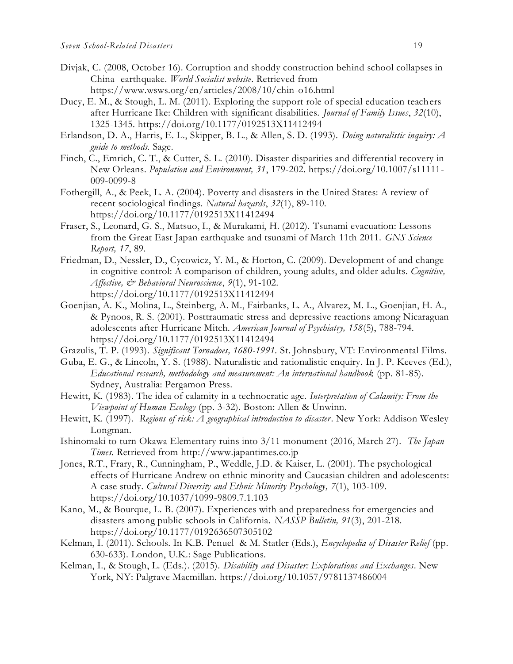- Divjak, C. (2008, October 16). Corruption and shoddy construction behind school collapses in China earthquake. *World Socialist website*. Retrieved from <https://www.wsws.org/en/articles/2008/10/chin-o16.html>
- Ducy, E. M., & Stough, L. M. (2011). Exploring the support role of special education teachers after Hurricane Ike: Children with significant disabilities. *Journal of Family Issues*, *32*(10), 1325-1345. https://doi.org/10.1177/0192513X11412494
- Erlandson, D. A., Harris, E. L., Skipper, B. L., & Allen, S. D. (1993). *Doing naturalistic inquiry: A guide to methods.* Sage.
- Finch, C., Emrich, C. T., & Cutter, S. L. (2010). Disaster disparities and differential recovery in New Orleans. *Population and Environment, 31*, 179-202. https://doi.org/10.1007/s11111- 009-0099-8
- Fothergill, A., & Peek, L. A. (2004). Poverty and disasters in the United States: A review of recent sociological findings. *Natural hazards*, *32*(1), 89-110. https://doi.org/10.1177/0192513X11412494
- Fraser, S., Leonard, G. S., Matsuo, I., & Murakami, H. (2012). Tsunami evacuation: Lessons from the Great East Japan earthquake and tsunami of March 11th 2011. *GNS Science Report, 17*, 89.
- Friedman, D., Nessler, D., Cycowicz, Y. M., & Horton, C. (2009). Development of and change in cognitive control: A comparison of children, young adults, and older adults. *Cognitive, Affective, & Behavioral Neuroscience*, *9*(1), 91-102. https://doi.org/10.1177/0192513X11412494
- Goenjian, A. K., Molina, L., Steinberg, A. M., Fairbanks, L. A., Alvarez, M. L., Goenjian, H. A., & Pynoos, R. S. (2001). Posttraumatic stress and depressive reactions among Nicaraguan adolescents after Hurricane Mitch. *American Journal of Psychiatry, 158*(5), 788-794. https://doi.org/10.1177/0192513X11412494
- Grazulis, T. P. (1993). *Significant Tornadoes, 1680-1991.* St. Johnsbury, VT: Environmental Films.
- Guba, E. G., & Lincoln, Y. S. (1988). Naturalistic and rationalistic enquiry. In J. P. Keeves (Ed.), *Educational research, methodology and measurement: An international handbook* (pp. 81-85). Sydney, Australia: Pergamon Press.
- Hewitt, K. (1983). The idea of calamity in a technocratic age. *Interpretation of Calamity: From the Viewpoint of Human Ecology* (pp. 3-32). Boston: Allen & Unwinn.
- Hewitt, K. (1997). *Regions of risk: A geographical introduction to disaster*. New York: Addison Wesley Longman.
- Ishinomaki to turn Okawa Elementary ruins into 3/11 monument (2016, March 27). *The Japan Times.* Retrieved from [http://www.japantimes.co.jp](http://www.japantimes.co.jp/)
- Jones, R.T., Frary, R., Cunningham, P., Weddle, J.D. & Kaiser, L. (2001). The psychological effects of Hurricane Andrew on ethnic minority and Caucasian children and adolescents: A case study. *Cultural Diversity and Ethnic Minority Psychology, 7*(1), 103-109. https://doi.org/10.1037/1099-9809.7.1.103
- Kano, M., & Bourque, L. B. (2007). Experiences with and preparedness for emergencies and disasters among public schools in California. *NASSP Bulletin, 91*(3), 201-218. https://doi.org/10.1177/0192636507305102
- Kelman, I. (2011). Schools. In K.B. Penuel & M. Statler (Eds.), *Encyclopedia of Disaster Relief* (pp. 630-633). London, U.K.: Sage Publications.
- Kelman, I., & Stough, L. (Eds.). (2015). *Disability and Disaster: Explorations and Exchanges*. New York, NY: Palgrave Macmillan. https://doi.org/10.1057/9781137486004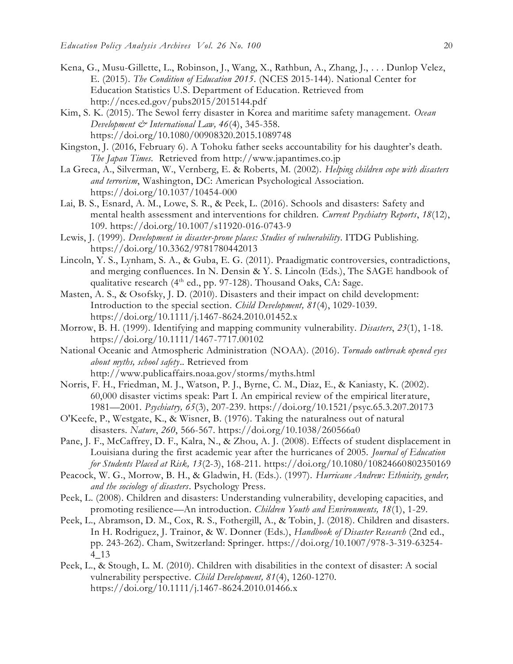- Kena, G., Musu-Gillette, L., Robinson, J., Wang, X., Rathbun, A., Zhang, J., . . . Dunlop Velez, E. (2015). *The Condition of Education 2015*. (NCES 2015-144). National Center for Education Statistics U.S. Department of Education. Retrieved from <http://nces.ed.gov/pubs2015/2015144.pdf>
- Kim, S. K. (2015). The Sewol ferry disaster in Korea and maritime safety management. *Ocean Development & International Law, 46*(4), 345-358. https://doi.org/10.1080/00908320.2015.1089748
- Kingston, J. (2016, February 6). A Tohoku father seeks accountability for his daughter's death. *The Japan Times.* Retrieved from [http://www.japantimes.co.jp](http://www.japantimes.co.jp/)
- La Greca, A., Silverman, W., Vernberg, E. & Roberts, M. (2002). *Helping children cope with disasters and terrorism*, Washington, DC: American Psychological Association. https://doi.org/10.1037/10454-000
- Lai, B. S., Esnard, A. M., Lowe, S. R., & Peek, L. (2016). Schools and disasters: Safety and mental health assessment and interventions for children. *Current Psychiatry Reports*, *18*(12), 109. https://doi.org/10.1007/s11920-016-0743-9
- Lewis, J. (1999). *Development in disaster-prone places: Studies of vulnerability*. ITDG Publishing. https://doi.org/10.3362/9781780442013
- Lincoln, Y. S., Lynham, S. A., & Guba, E. G. (2011). Praadigmatic controversies, contradictions, and merging confluences. In N. Densin & Y. S. Lincoln (Eds.), The SAGE handbook of qualitative research (4<sup>th</sup> ed., pp. 97-128). Thousand Oaks, CA: Sage.
- Masten, A. S., & Osofsky, J. D. (2010). Disasters and their impact on child development: Introduction to the special section. *Child Development, 81*(4), 1029-1039. https://doi.org/10.1111/j.1467-8624.2010.01452.x
- Morrow, B. H. (1999). Identifying and mapping community vulnerability. *Disasters*, *23*(1), 1-18. https://doi.org/10.1111/1467-7717.00102
- National Oceanic and Atmospheric Administration (NOAA). (2016). *Tornado outbreak opened eyes about myths, school safety*.. Retrieved from <http://www.publicaffairs.noaa.gov/storms/myths.html>
- Norris, F. H., Friedman, M. J., Watson, P. J., Byrne, C. M., Diaz, E., & Kaniasty, K. (2002). 60,000 disaster victims speak: Part I. An empirical review of the empirical liter ature, 1981—2001. *Psychiatry, 65*(3), 207-239. https://doi.org/10.1521/psyc.65.3.207.20173
- O'Keefe, P., Westgate, K., & Wisner, B. (1976). Taking the naturalness out of natural disasters. *Nature*, *260*, 566-567. https://doi.org/10.1038/260566a0
- Pane, J. F., McCaffrey, D. F., Kalra, N., & Zhou, A. J. (2008). Effects of student displacement in Louisiana during the first academic year after the hurricanes of 2005. *Journal of Education for Students Placed at Risk, 13*(2-3), 168-211. https://doi.org/10.1080/10824660802350169
- Peacock, W. G., Morrow, B. H., & Gladwin, H. (Eds.). (1997). *Hurricane Andrew: Ethnicity, gender, and the sociology of disasters*. Psychology Press.
- Peek, L. (2008). Children and disasters: Understanding vulnerability, developing capacities, and promoting resilience—An introduction. *Children Youth and Environments, 18*(1), 1-29.
- Peek, L., Abramson, D. M., Cox, R. S., Fothergill, A., & Tobin, J. (2018). Children and disasters. In H. Rodriguez, J. Trainor, & W. Donner (Eds.), *Handbook of Disaster Research* (2nd ed., pp. 243-262). Cham, Switzerland: Springer. https://doi.org/10.1007/978-3-319-63254- 4\_13
- Peek, L., & Stough, L. M. (2010). Children with disabilities in the context of disaster: A social vulnerability perspective. *Child Development, 81*(4), 1260-1270. https://doi.org/10.1111/j.1467-8624.2010.01466.x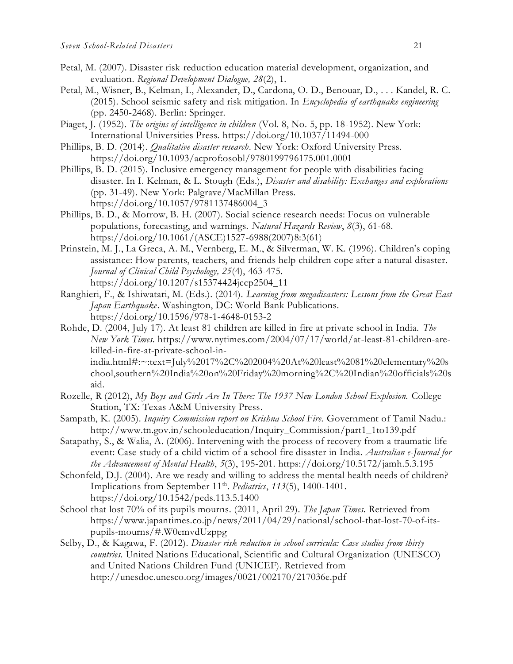- Petal, M. (2007). Disaster risk reduction education material development, organization, and evaluation. *Regional Development Dialogue, 28*(2), 1.
- Petal, M., Wisner, B., Kelman, I., Alexander, D., Cardona, O. D., Benouar, D., . . . Kandel, R. C. (2015). School seismic safety and risk mitigation. In *Encyclopedia of earthquake engineering* (pp. 2450-2468). Berlin: Springer.
- Piaget, J. (1952). *The origins of intelligence in children* (Vol. 8, No. 5, pp. 18-1952). New York: International Universities Press. <https://doi.org/10.1037/11494-000>
- Phillips, B. D. (2014). *Qualitative disaster research*. New York: Oxford University Press. <https://doi.org/10.1093/acprof:osobl/9780199796175.001.0001>
- Phillips, B. D. (2015). Inclusive emergency management for people with disabilities facing disaster. In I. Kelman, & L. Stough (Eds.), *Disaster and disability: Exchanges and explorations*  (pp. 31-49). New York: Palgrave/MacMillan Press. [https://doi.org/10.1057/9781137486004\\_3](https://doi.org/10.1057/9781137486004_3)
- Phillips, B. D., & Morrow, B. H. (2007). Social science research needs: Focus on vulnerable populations, forecasting, and warnings. *Natural Hazards Review*, *8*(3), 61-68. [https://doi.org/10.1061/\(ASCE\)1527-6988\(2007\)8:3\(61\)](https://doi.org/10.1061/(ASCE)1527-6988(2007)8:3(61))
- Prinstein, M. J., La Greca, A. M., Vernberg, E. M., & Silverman, W. K. (1996). Children's coping assistance: How parents, teachers, and friends help children cope after a natural disaster. *Journal of Clinical Child Psychology, 25*(4), 463-475. [https://doi.org/10.1207/s15374424jccp2504\\_11](https://doi.org/10.1207/s15374424jccp2504_11)
- Ranghieri, F., & Ishiwatari, M. (Eds.). (2014). *Learning from megadisasters: Lessons from the Great East Japan Earthquake*. Washington, DC: World Bank Publications. <https://doi.org/10.1596/978-1-4648-0153-2>
- Rohde, D. (2004, July 17). At least 81 children are killed in fire at private school in India. *The New York Times.* https://www.nytimes.com/2004/07/17/world/at-least-81-children-arekilled-in-fire-at-private-school-in-

india.html#:~:text=July%2017%2C%202004%20At%20least%2081%20elementary%20s chool,southern%20India%20on%20Friday%20morning%2C%20Indian%20officials%20s aid.

- Rozelle, R (2012), *My Boys and Girls Are In There: The 1937 New London School Explosion.* College Station, TX: Texas A&M University Press.
- Sampath, K. (2005). *Inquiry Commission report on Krishna School Fire.* Government of Tamil Nadu.: [http://www.tn.gov.in/schooleducation/Inquiry\\_Commission/part1\\_1to139.pdf](http://www.tn.gov.in/schooleducation/Inquiry_Commission/part1_1to139.pdf)
- Satapathy, S., & Walia, A. (2006). Intervening with the process of recovery from a traumatic life event: Case study of a child victim of a school fire disaster in India. *Australian e-Journal for the Advancement of Mental Health*, *5*(3), 195-201. https://doi.org/10.5172/jamh.5.3.195
- Schonfeld, D.J. (2004). Are we ready and willing to address the mental health needs of children? Implications from September 11<sup>th</sup>. *Pediatrics*, 113(5), 1400-1401. https://doi.org/10.1542/peds.113.5.1400
- School that lost 70% of its pupils mourns. (2011, April 29). *The Japan Times.* Retrieved from https://www.japantimes.co.jp/news/2011/04/29/national/school-that-lost-70-of-itspupils-mourns/#.W0emvdUzppg
- Selby, D., & Kagawa, F. (2012). *Disaster risk reduction in school curricula: Case studies from thirty countries.* United Nations Educational, Scientific and Cultural Organization (UNESCO) and United Nations Children Fund (UNICEF). Retrieved from http://unesdoc.unesco.org/images/0021/002170/217036e.pdf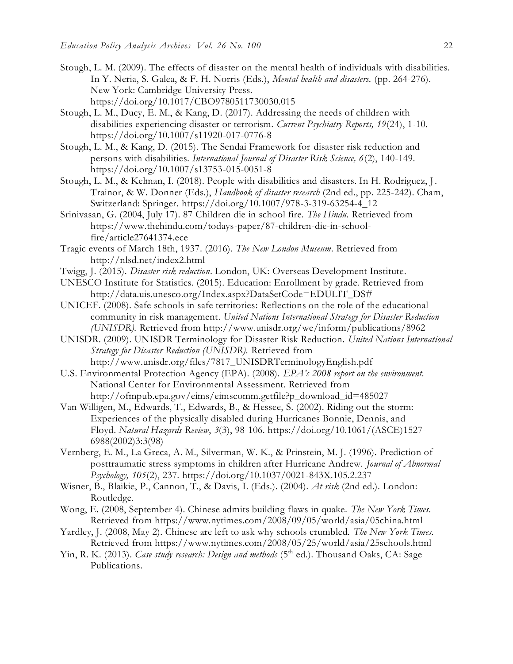- Stough, L. M. (2009). The effects of disaster on the mental health of individuals with disabilities. In Y. Neria, S. Galea, & F. H. Norris (Eds.), *Mental health and disasters.* (pp. 264-276). New York: Cambridge University Press. <https://doi.org/10.1017/CBO9780511730030.015>
- Stough, L. M., Ducy, E. M., & Kang, D. (2017). Addressing the needs of children with disabilities experiencing disaster or terrorism. *Current Psychiatry Reports, 19*(24), 1-10. <https://doi.org/10.1007/s11920-017-0776-8>
- Stough, L. M., & Kang, D. (2015). The Sendai Framework for disaster risk reduction and persons with disabilities. *International Journal of Disaster Risk Science, 6*(2), 140-149. https://doi.org/10.1007/s13753-015-0051-8
- Stough, L. M., & Kelman, I. (2018). People with disabilities and disasters. In H. Rodriguez, J. Trainor, & W. Donner (Eds.), *Handbook of disaster research* (2nd ed., pp. 225-242). Cham, Switzerland: Springer. [https://doi.org/10.1007/978-3-319-63254-4\\_12](https://doi.org/10.1007/978-3-319-63254-4_12)
- Srinivasan, G. (2004, July 17). 87 Children die in school fire. *The Hindu.* Retrieved from https://www.thehindu.com/todays-paper/87-children-die-in-schoolfire/article27641374.ece
- Tragic events of March 18th, 1937. (2016). *The New London Museum*. Retrieved from <http://nlsd.net/index2.html>
- Twigg, J. (2015). *Disaster risk reduction*. London, UK: Overseas Development Institute.
- UNESCO Institute for Statistics. (2015). Education: Enrollment by grade. Retrieved from [http://data.uis.unesco.org/Index.aspx?DataSetCode=EDULIT\\_DS#](http://data.uis.unesco.org/Index.aspx?DataSetCode=EDULIT_DS)
- UNICEF. (2008). Safe schools in safe territories: Reflections on the role of the educational community in risk management. *United Nations International Strategy for Disaster Reduction (UNISDR).* Retrieved from<http://www.unisdr.org/we/inform/publications/8962>
- UNISDR. (2009). UNISDR Terminology for Disaster Risk Reduction. *United Nations International Strategy for Disaster Reduction (UNISDR).* Retrieved from [http://www.unisdr.org/files/7817\\_UNISDRTerminologyEnglish.pdf](http://www.unisdr.org/files/7817_UNISDRTerminologyEnglish.pdf)
- U.S. Environmental Protection Agency (EPA). (2008). *EPA's 2008 report on the environment.* National Center for Environmental Assessment. Retrieved from [http://ofmpub.epa.gov/eims/eimscomm.getfile?p\\_download\\_id=485027](http://ofmpub.epa.gov/eims/eimscomm.getfile?p_download_id=485027)
- Van Willigen, M., Edwards, T., Edwards, B., & Hessee, S. (2002). Riding out the storm: Experiences of the physically disabled during Hurricanes Bonnie, Dennis, and Floyd. *Natural Hazards Review*, *3*(3), 98-106. https://doi.org/10.1061/(ASCE)1527- 6988(2002)3:3(98)
- Vernberg, E. M., La Greca, A. M., Silverman, W. K., & Prinstein, M. J. (1996). Prediction of posttraumatic stress symptoms in children after Hurricane Andrew. *Journal of Abnormal Psychology, 105*(2), 237. https://doi.org/10.1037/0021-843X.105.2.237
- Wisner, B., Blaikie, P., Cannon, T., & Davis, I. (Eds.). (2004). *At risk* (2nd ed.). London: Routledge.
- Wong, E. (2008, September 4). Chinese admits building flaws in quake. *The New York Times.*  Retrieved from https://www.nytimes.com/2008/09/05/world/asia/05china.html
- Yardley, J. (2008, May 2). Chinese are left to ask why schools crumbled. *The New York Times.*  Retrieved from https://www.nytimes.com/2008/05/25/world/asia/25schools.html
- Yin, R. K. (2013). *Case study research: Design and methods* (5<sup>th</sup> ed.). Thousand Oaks, CA: Sage Publications.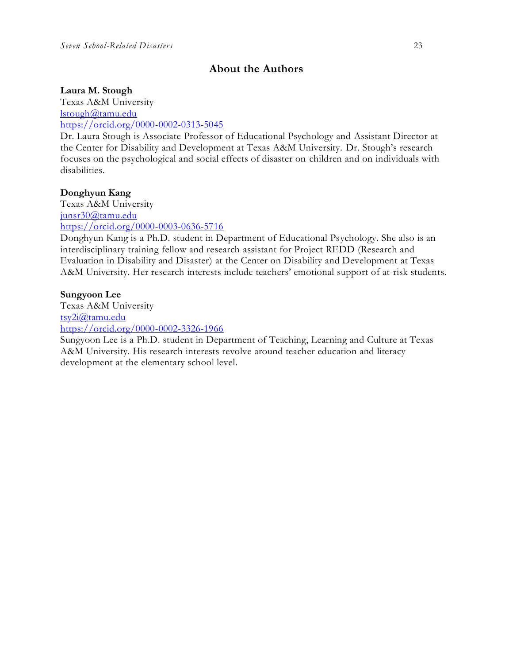## **About the Authors**

#### **Laura M. Stough**

Texas A&M University [lstough@tamu.edu](mailto:lstough@tamu.edu) <https://orcid.org/0000-0002-0313-5045>

Dr. Laura Stough is Associate Professor of Educational Psychology and Assistant Director at the Center for Disability and Development at Texas A&M University. Dr. Stough's research focuses on the psychological and social effects of disaster on children and on individuals with disabilities.

#### **Donghyun Kang**

Texas A&M University [junsr30@tamu.edu](mailto:junsr30@tamu.edu) <https://orcid.org/0000-0003-0636-5716>

Donghyun Kang is a Ph.D. student in Department of Educational Psychology. She also is an interdisciplinary training fellow and research assistant for Project REDD (Research and Evaluation in Disability and Disaster) at the Center on Disability and Development at Texas A&M University. Her research interests include teachers' emotional support of at-risk students.

#### **Sungyoon Lee**

Texas A&M University [tsy2i@tamu.edu](mailto:tsy2i@tamu.edu) <https://orcid.org/0000-0002-3326-1966>

Sungyoon Lee is a Ph.D. student in Department of Teaching, Learning and Culture at Texas A&M University. His research interests revolve around teacher education and literacy development at the elementary school level.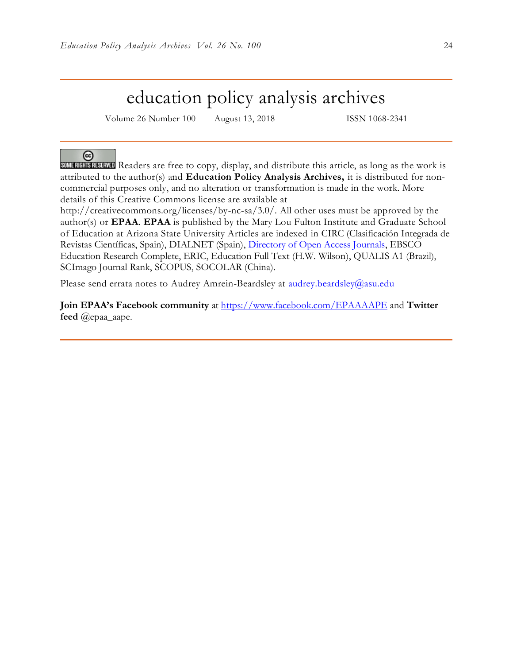## education policy analysis archives

Volume 26 Number 100 August 13, 2018 ISSN 1068-2341

#### ര

SOME RIGHTS RESERVED Readers are free to copy, display, and distribute this article, as long as the work is attributed to the author(s) and **Education Policy Analysis Archives,** it is distributed for noncommercial purposes only, and no alteration or transformation is made in the work. More details of this Creative Commons license are available at

http://creativecommons.org/licenses/by-nc-sa/3.0/. All other uses must be approved by the author(s) or **EPAA**. **EPAA** is published by the Mary Lou Fulton Institute and Graduate School of Education at Arizona State University Articles are indexed in CIRC (Clasificación Integrada de Revistas Científicas, Spain), DIALNET (Spain), [Directory of Open Access Journals,](http://www.doaj.org/) EBSCO Education Research Complete, ERIC, Education Full Text (H.W. Wilson), QUALIS A1 (Brazil), SCImago Journal Rank, SCOPUS, SOCOLAR (China).

Please send errata notes to Audrey Amrein-Beardsley at [audrey.beardsley@asu.edu](mailto:audrey.beardsley@asu.edu)

**Join EPAA's Facebook community** at<https://www.facebook.com/EPAAAAPE> and **Twitter feed** @epaa\_aape.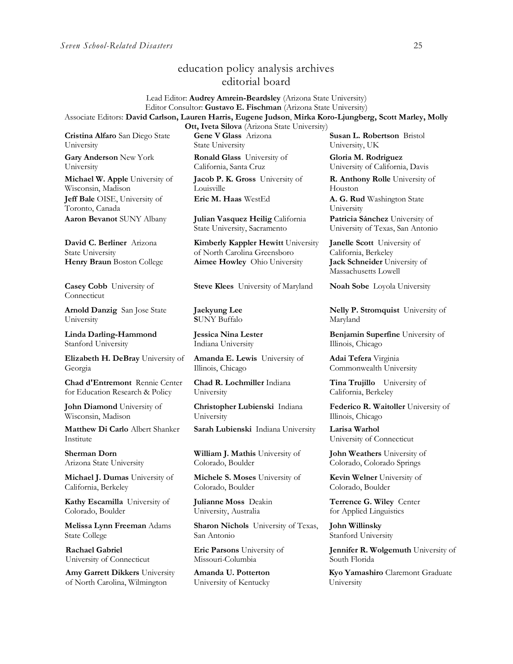### education policy analysis archives editorial board

Lead Editor: **Audrey Amrein-Beardsley** (Arizona State University) Editor Consultor: **Gustavo E. Fischman** (Arizona State University) Associate Editors: **David Carlson, Lauren Harris, Eugene Judson**, **Mirka Koro-Ljungberg, Scott Marley, Molly** 

**Cristina Alfaro** San Diego State University

**Gary Anderson** New York University

**Michael W. Apple** University of Wisconsin, Madison **Jeff Bale** OISE, University of Toronto, Canada

**David C. Berliner** Arizona State University

**Casey Cobb** University of Connecticut

**Arnold Danzig** San Jose State University

**Linda Darling-Hammond**  Stanford University

**Elizabeth H. DeBray** University of Georgia

**Chad d'Entremont** Rennie Center for Education Research & Policy

**John Diamond** University of Wisconsin, Madison

**Matthew Di Carlo** Albert Shanker Institute

**Sherman Dorn** Arizona State University

**Michael J. Dumas** University of California, Berkeley

**Kathy Escamilla** University of Colorado, Boulder

**Melissa Lynn Freeman** Adams State College

**Rachael Gabriel** University of Connecticut

**Amy Garrett Dikkers** University of North Carolina, Wilmington

**Ott, Iveta Silova** (Arizona State University) **Gene V Glass** Arizona State University

**Ronald Glass** University of California, Santa Cruz

**Jacob P. K. Gross** University of Louisville **Eric M. Haas** WestEd **A. G. Rud** Washington State

**Aaron Bevanot** SUNY Albany **Julian Vasquez Heilig** California State University, Sacramento

**Kimberly Kappler Hewitt** University of North Carolina Greensboro **Henry Braun** Boston College **Aimee Howley** Ohio University **Jack Schneider** University of

**Steve Klees** University of Maryland **Noah Sobe** Loyola University

**Jaekyung Lee S**UNY Buffalo

**Jessica Nina Lester** Indiana University

**Amanda E. Lewis** University of Illinois, Chicago

**Chad R. Lochmiller** Indiana University

**Christopher Lubienski** Indiana University

**Sarah Lubienski** Indiana University **Larisa Warhol**

**William J. Mathis** University of Colorado, Boulder

**Michele S. Moses** University of Colorado, Boulder

**Julianne Moss** Deakin University, Australia

**Sharon Nichols** University of Texas, San Antonio

**Eric Parsons** University of Missouri-Columbia

**Amanda U. Potterton** University of Kentucky

**Susan L. Robertson** Bristol University, UK

**Gloria M. Rodriguez** University of California, Davis

**R. Anthony Rolle** University of Houston

University **Patricia Sánchez** University of

University of Texas, San Antonio

**Janelle Scott** University of California, Berkeley Massachusetts Lowell

**Nelly P. Stromquist** University of Maryland

**Benjamin Superfine** University of Illinois, Chicago

**Adai Tefera** Virginia Commonwealth University

**Tina Trujillo** University of California, Berkeley

**Federico R. Waitoller** University of Illinois, Chicago

University of Connecticut

**John Weathers** University of Colorado, Colorado Springs

**Kevin Welner** University of Colorado, Boulder

**Terrence G. Wiley** Center for Applied Linguistics

**John Willinsky**  Stanford University

**Jennifer R. Wolgemuth** University of South Florida

**Kyo Yamashiro** Claremont Graduate University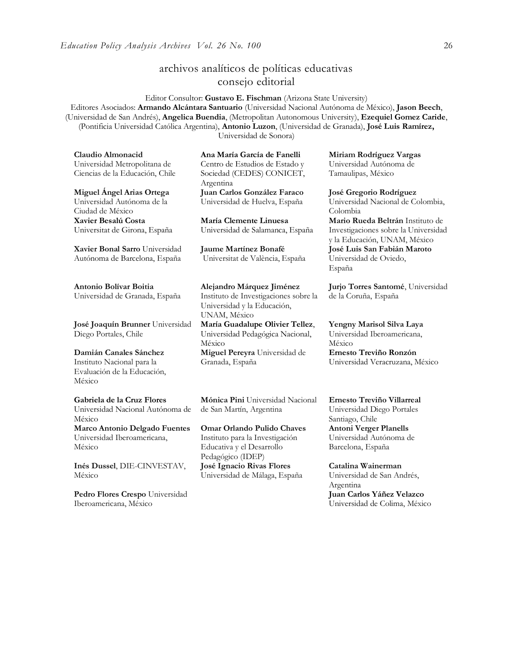### archivos analíticos de políticas educativas consejo editorial

Editor Consultor: **Gustavo E. Fischman** (Arizona State University) Editores Asociados: **Armando Alcántara Santuario** (Universidad Nacional Autónoma de México), **Jason Beech**, (Universidad de San Andrés), **Angelica Buendia**, (Metropolitan Autonomous University), **Ezequiel Gomez Caride**, (Pontificia Universidad Católica Argentina), **Antonio Luzon**, (Universidad de Granada), **José Luis Ramírez,** Universidad de Sonora)

**Claudio Almonacid** Universidad Metropolitana de Ciencias de la Educación, Chile

**Miguel Ángel Arias Ortega**  Universidad Autónoma de la Ciudad de México **Xavier Besalú Costa**  Universitat de Girona, España

**[Xavier Bonal](javascript:openRTWindow() Sarro** Universidad Autónoma de Barcelona, España

**[Antonio Bolívar](javascript:openRTWindow() Boitia** Universidad de Granada, España

**[José Joaquín Brunner](javascript:openRTWindow()** Universidad Diego Portales, Chile

#### **[Damián Canales Sánchez](javascript:openRTWindow()** Instituto Nacional para la Evaluación de la Educación, México

**Gabriela de la Cruz Flores** Universidad Nacional Autónoma de México **[Marco Antonio Delgado Fuentes](javascript:openRTWindow()** Universidad Iberoamericana, México

**[Inés Dussel](javascript:openRTWindow()**, DIE-CINVESTAV, México

**[Pedro Flores Crespo](javascript:openRTWindow()** Universidad Iberoamericana, México

**Ana María García de Fanelli**  Centro de Estudios de Estado y Sociedad (CEDES) CONICET, Argentina **Juan Carlos González Faraco**  Universidad de Huelva, España

**María Clemente Linuesa**  Universidad de Salamanca, España

**Jaume Martínez Bonafé** Universitat de València, España

**Alejandro Márquez Jiménez**  Instituto de Investigaciones sobre la Universidad y la Educación, UNAM, México

**María Guadalupe Olivier Tellez**, Universidad Pedagógica Nacional, México **[Miguel Pereyra](javascript:openRTWindow()** Universidad de Granada, España

**[Mónica Pini](javascript:openRTWindow()** Universidad Nacional de San Martín, Argentina

**Omar Orlando Pulido Chaves** Instituto para la Investigación Educativa y el Desarrollo Pedagógico (IDEP) **José Ignacio Rivas Flores** Universidad de Málaga, España

**[Miriam Rodríguez Vargas](javascript:openRTWindow()** Universidad Autónoma de Tamaulipas, México

**José Gregorio Rodríguez**  Universidad Nacional de Colombia, Colombia **[Mario Rueda Beltrán](javascript:openRTWindow()** Instituto de Investigaciones sobre la Universidad y la Educación, UNAM, México **José Luis San Fabián Maroto**  Universidad de Oviedo, España

**[Jurjo Torres Santomé](javascript:openRTWindow()**, Universidad de la Coruña, España

**[Yengny Marisol Silva Laya](javascript:openRTWindow()** Universidad Iberoamericana, México

**Ernesto Treviño Ronzón** Universidad Veracruzana, México

**[Ernesto Treviño](javascript:openRTWindow() Villarreal** Universidad Diego Portales Santiago, Chile **[Antoni Verger Planells](javascript:openRTWindow()** Universidad Autónoma de Barcelona, España

**[Catalina Wainerman](javascript:openRTWindow()** Universidad de San Andrés, Argentina **Juan Carlos Yáñez Velazco** Universidad de Colima, México